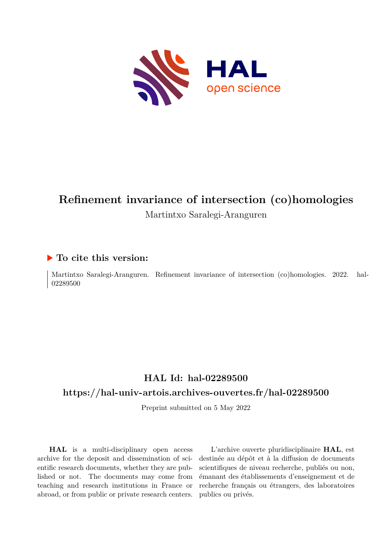

# **Refinement invariance of intersection (co)homologies** Martintxo Saralegi-Aranguren

### **To cite this version:**

Martintxo Saralegi-Aranguren. Refinement invariance of intersection (co)homologies. 2022. hal-02289500

## **HAL Id: hal-02289500**

### **<https://hal-univ-artois.archives-ouvertes.fr/hal-02289500>**

Preprint submitted on 5 May 2022

**HAL** is a multi-disciplinary open access archive for the deposit and dissemination of scientific research documents, whether they are published or not. The documents may come from teaching and research institutions in France or abroad, or from public or private research centers.

L'archive ouverte pluridisciplinaire **HAL**, est destinée au dépôt et à la diffusion de documents scientifiques de niveau recherche, publiés ou non, émanant des établissements d'enseignement et de recherche français ou étrangers, des laboratoires publics ou privés.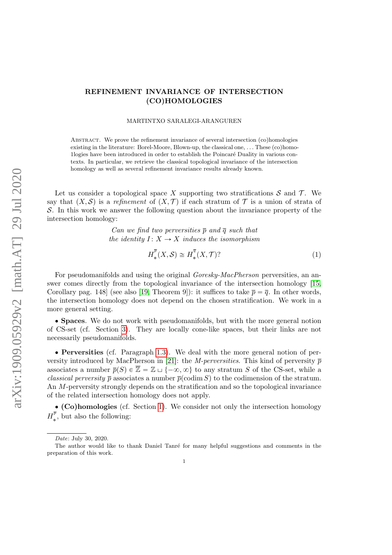### REFINEMENT INVARIANCE OF INTERSECTION (CO)HOMOLOGIES

MARTINTXO SARALEGI-ARANGUREN

Abstract. We prove the refinement invariance of several intersection (co)homologies existing in the literature: Borel-Moore, Blown-up, the classical one, . . . These (co)homo-1logies have been introduced in order to establish the Poincar´e Duality in various contexts. In particular, we retrieve the classical topological invariance of the intersection homology as well as several refinement invariance results already known.

Let us consider a topological space X supporting two stratifications  $\mathcal S$  and  $\mathcal T$ . We say that  $(X, S)$  is a refinement of  $(X, \mathcal{T})$  if each stratum of T is a union of strata of S. In this work we answer the following question about the invariance property of the intersection homology:

> Can we find two perversities  $\bar{p}$  and  $\bar{q}$  such that the identity  $I: X \rightarrow X$  induces the isomorphism

$$
H_*^{\overline{p}}(X,\mathcal{S}) \cong H_*^{\overline{q}}(X,\mathcal{T})
$$
 (1)

For pseudomanifolds and using the original *Goresky-MacPherson* perversities, an answer comes directly from the topological invariance of the intersection homology [15, Corollary pag. 148 (see also [19, Theorem 9]): it suffices to take  $\bar{p} = \bar{q}$ . In other words, the intersection homology does not depend on the chosen stratification. We work in a more general setting.

' Spaces. We do not work with pseudomanifolds, but with the more general notion of CS-set (cf. Section 3). They are locally cone-like spaces, but their links are not necessarily pseudomanifolds.

' Perversities (cf. Paragraph 1.3). We deal with the more general notion of perversity introduced by MacPherson in [21]: the *M-perversities*. This kind of perversity  $\bar{p}$ associates a number  $\overline{p}(S) \in \overline{\mathbb{Z}} = \mathbb{Z} \cup \{-\infty, \infty\}$  to any stratum S of the CS-set, while a classical perversity  $\bar{p}$  associates a number  $\bar{p}(\text{codim } S)$  to the codimension of the stratum. An M-perversity strongly depends on the stratification and so the topological invariance of the related intersection homology does not apply.

' (Co)homologies (cf. Section 1). We consider not only the intersection homology  $H^{\overline{p}}$  $\frac{p}{\ast}$ , but also the following:

Date: July 30, 2020.

The author would like to thank Daniel Tanré for many helpful suggestions and comments in the preparation of this work.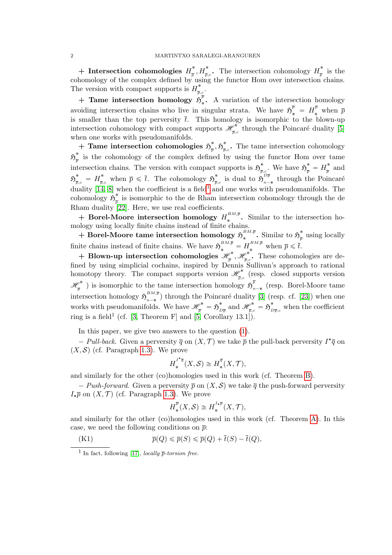+ Intersection cohomologies  $H_{\pi}^*$  $\frac{1}{p}, H^*_{\overline{p},c}$ . The intersection cohomology  $H^*_{\overline{p}}$  $\int_{\overline{p}}^{\infty}$  is the cohomology of the complex defined by using the functor Hom over intersection chains. The version with compact supports is  $H^*_{\overline{n}}$  $\frac{\bar{p}}{\bar{p},c}$  .

+ Tame intersection homology  $\tilde{\mathfrak{H}}_{\mathfrak{s}}^{\overline{p}}$  $\cdot$ . A variation of the intersection homology avoiding intersection chains who live in singular strata. We have  $\mathfrak{H}_{*}^{\overline{p}} = H_{*}^{\overline{p}}$  when  $\overline{p}$ is smaller than the top perversity  $\bar{t}$ . This homology is isomorphic to the blown-up intersection cohomology with compact supports  $\mathscr{H}_{\overline{n}}^*$  $\int_{\bar{p},c}^{\infty}$  through the Poincaré duality [5] when one works with pseudomanifolds.

+ Tame intersection cohomologies  $\mathfrak{H}^*$  $_{\overline{p}}^{*},\mathfrak{H}_{\overline{p}}^{*}$  $\sum_{\bar{p},c}$ . The tame intersection cohomology  $\mathfrak{H}^{\text{*}}_{_{\overline{m}}}$  $\frac{1}{p}$  is the cohomology of the complex defined by using the functor Hom over tame intersection chains. The version with compact supports is  $\mathfrak{H}^*$  $\sum_{\overline{p},c}^*$ . We have  $\mathfrak{H}_{\overline{p}}^* = H_{\overline{p}}^*$  $\frac{\pi}{p}$  and  $\mathfrak{H}^*_{\overline{p},c}\ =\ H^*_{\overline{p},c}\,$ \* when  $\bar{p} \leq \bar{t}$ . The cohomology  $\mathfrak{H}^*_{\bar{p}}$  $\frac{*}{p,c}$  is dual to  $\mathfrak{H}^{D \overline{p}}_{n-}$  $\frac{D_p}{n-*}$  through the Poincaré duality  $[14, 8]$  when the coefficient is a field<sup>1</sup> and one works with pseudomanifolds. The cohomology  $\mathfrak{H}^*$  $\frac{1}{p}$  is isomorphic to the de Rham intersection cohomology through the de Rham duality [22]. Here, we use real coefficients.

+ Borel-Moore intersection homology  $H_*^{BM,\bar{p}}$ . Similar to the intersection homology using locally finite chains instead of finite chains.

 $+$  Borel-Moore tame intersection homology  $\mathfrak{H}^{BM,\overline{p}}_{*}$  $\stackrel{BM,\overline{p}}{\ast}$ . Similar to  $\mathfrak{H}^*_{\overline{p}}$  $\frac{1}{p}$  using locally finite chains instead of finite chains. We have  $\mathfrak{H}^{BM,\overline{p}}_* = H^{BM,\overline{p}}_*$  when  $\overline{p} \leq \overline{t}$ .

+ Blown-up intersection cohomologies  $\mathscr{H}_{\overline{n}}^*$  $_{\overline{p}}^{\phi^*},\mathscr{H}^*_{\overline{p},\phi^*}$  $\frac{\partial^*}{\partial p}$ . These cohomologies are defined by using simplicial cochains, inspired by Dennis Sullivan's approach to rational homotopy theory. The compact supports version  $\mathscr{H}_{\overline{n}}^*$  $\int_{\bar{p},c}^{\infty}$  (resp. closed supports version  $\mathscr{H}_{\overline{p}}^*$ ) is isomorphic to the tame intersection homology  $\mathfrak{H}_{n-*}^p$  (resp. Borel-Moore tame  $* \rightarrow \cdot \cdot \cdot$  is a set of  $\cdot \cdot \cdot$  is a set of  $\overline{p}$ intersection homology  $\mathfrak{H}^{BM,\bar{p}}_{n-*}$  $\binom{m,n}{n-*}$  through the Poincaré duality [3] (resp. cf. [23]) when one works with pseudomanifolds. We have  $\mathscr{H}_{\overline{p}}^* = \mathfrak{H}_L^*$  $\sum\limits_{D\overline{p}}^*$  and  $\mathscr{H}^*_{\overline{p},c}=\mathfrak{H}^*_{L}$  $\int_{D\overline{p},c}$  when the coefficient ring is a field<sup>1</sup> (cf. [3, Theorem F] and [5, Corollary 13.1]).

In this paper, we give two answers to the question (1).

- Pull-back. Given a perversity  $\overline{q}$  on  $(X, \mathcal{T})$  we take  $\overline{p}$  the pull-back perversity  $I^{\star}\overline{q}$  on  $(X, \mathcal{S})$  (cf. Paragraph 1.3). We prove

$$
H_*^{I^{\star_{\overline{q}}}}(X,\mathcal{S}) \cong H_*^{\overline{q}}(X,\mathcal{T}),
$$

and similarly for the other (co)homologies used in this work (cf. Theorem B).

- Push-forward. Given a perversity  $\bar{p}$  on  $(X, \mathcal{S})$  we take  $\bar{q}$  the push-forward perversity  $I_{\star}\overline{p}$  on  $(X, \mathcal{T})$  (cf. Paragraph 1.3). We prove

$$
H_*^{\overline{p}}(X,\mathcal{S}) \cong H_*^{^{I_*\overline{p}}}(X,\mathcal{T}),
$$

and similarly for the other (co)homologies used in this work (cf. Theorem A). In this case, we need the following conditions on  $\bar{p}$ :

(K1) 
$$
\overline{p}(Q) \leq \overline{p}(S) \leq \overline{p}(Q) + \overline{t}(S) - \overline{t}(Q),
$$

<sup>&</sup>lt;sup>1</sup> In fact, following [17], *locally*  $\bar{p}$ -torsion free.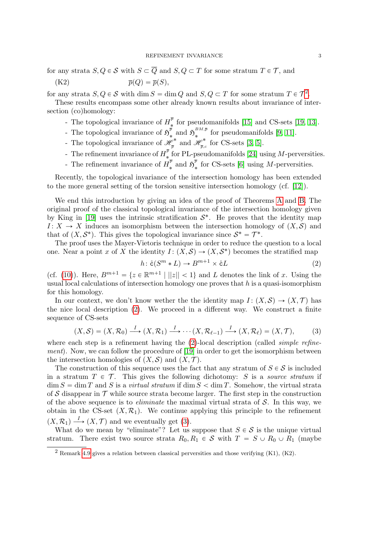for any strata  $S, Q \in \mathcal{S}$  with  $S \subset \overline{Q}$  and  $S, Q \subset T$  for some stratum  $T \in \mathcal{T}$ , and

$$
\overline{p}(Q) = \overline{p}(S),
$$

for any strata  $S, Q \in \mathcal{S}$  with  $\dim S = \dim Q$  and  $S, Q \subset T$  for some stratum  $T \in \mathcal{T}^2$ .

These results encompass some other already known results about invariance of intersection (co)homology:

- The topological invariance of  $H_*^{\bar{p}}$  $\frac{p}{\ast}$  for pseudomanifolds [15] and CS-sets [19, 13].
- The topological invariance of  $\mathfrak{H}^{\overline{p}}$  $\frac{\overline{p}}{\ast}$  and  $\mathfrak{H}^{BM,\overline{p}}_{\ast}$  $\sum_{k=1}^{B M, p}$  for pseudomanifolds [9, 11].
- The topological invariance of  $\mathscr{H}_{\overline{n}}^*$  $\frac{\mathscr{P}^*}{\overline{p}}$  and  $\mathscr{H}^*_{\overline{p},\overline{q}}$  $\frac{\rho^*}{\bar{p},c}$  for CS-sets [3, 5].
- The refinement invariance of  $H^{\overline{p}}$  $*$  for PL-pseudomanifolds [24] using M-perversities.
- The refinement invariance of  $H_{\star}^{\overline{p}}$  $\frac{\overline{p}}{\ast}$  and  $\mathfrak{H}^{\overline{p}}_{\ast}$  $\frac{\mu}{\ast}$  for CS-sets [6] using *M*-perversities.

Recently, the topological invariance of the intersection homology has been extended to the more general setting of the torsion sensitive intersection homology (cf. [12]).

We end this introduction by giving an idea of the proof of Theorems A and B. The original proof of the classical topological invariance of the intersection homology given by King in [19] uses the intrinsic stratification  $S^*$ . He proves that the identity map  $I: X \to X$  induces an isomorphism between the intersection homology of  $(X, \mathcal{S})$  and that of  $(X, \mathcal{S}^*)$ . This gives the topological invariance since  $\mathcal{S}^* = \mathcal{T}^*$ .

The proof uses the Mayer-Vietoris technique in order to reduce the question to a local one. Near a point x of X the identity  $I: (X, S) \to (X, S^*)$  becomes the stratified map

$$
h: \mathring{\mathbf{c}}(S^m * L) \to B^{m+1} \times \mathring{\mathbf{c}}L \tag{2}
$$

(cf. (10)). Here,  $B^{m+1} = \{z \in \mathbb{R}^{m+1} \mid ||z|| < 1\}$  and L denotes the link of x. Using the usual local calculations of intersection homology one proves that  $h$  is a quasi-isomorphism for this homology.

In our context, we don't know wether the the identity map  $I: (X, S) \rightarrow (X, \mathcal{T})$  has the nice local description (2). We proceed in a different way. We construct a finite sequence of CS-sets

$$
(X,\mathcal{S}) = (X,\mathcal{R}_0) \xrightarrow{I} (X,\mathcal{R}_1) \xrightarrow{I} \cdots (X,\mathcal{R}_{\ell-1}) \xrightarrow{I} (X,\mathcal{R}_{\ell}) = (X,\mathcal{T}),
$$
 (3)

where each step is a refinement having the  $(2)$ -local description (called *simple refine*ment). Now, we can follow the procedure of [19] in order to get the isomorphism between the intersection homologies of  $(X, \mathcal{S})$  and  $(X, \mathcal{T})$ .

The construction of this sequence uses the fact that any stratum of  $S \in \mathcal{S}$  is included in a stratum  $T \in \mathcal{T}$ . This gives the following dichotomy: S is a source stratum if  $\dim S = \dim T$  and S is a *virtual stratum* if  $\dim S < \dim T$ . Somehow, the virtual strata of S disappear in  $\mathcal T$  while source strata become larger. The first step in the construction of the above sequence is to *eliminate* the maximal virtual strata of  $S$ . In this way, we obtain in the CS-set  $(X, \mathcal{R}_1)$ . We continue applying this principle to the refinement  $(X, \mathcal{R}_1) \longrightarrow (X, \mathcal{T})$  and we eventually get (3).

What do we mean by "eliminate"? Let us suppose that  $S \in \mathcal{S}$  is the unique virtual stratum. There exist two source strata  $R_0, R_1 \in S$  with  $T = S \cup R_0 \cup R_1$  (maybe

 $2$  Remark 4.9 gives a relation between classical perversities and those verifying  $(K1)$ ,  $(K2)$ .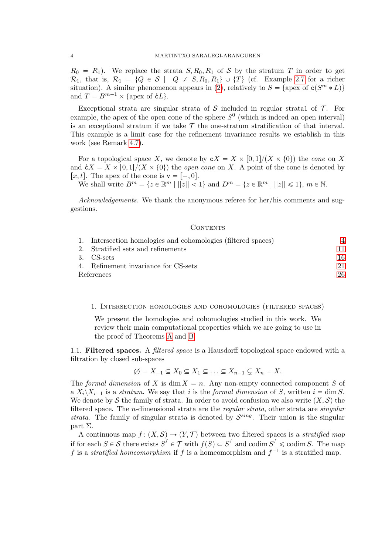$R_0 = R_1$ ). We replace the strata  $S, R_0, R_1$  of S by the stratum T in order to get  $\mathcal{R}_1$ , that is,  $\mathcal{R}_1 = \{Q \in \mathcal{S} \mid Q \neq S, R_0, R_1\} \cup \{T\}$  (cf. Example 2.7 for a richer situation). A similar phenomenon appears in (2), relatively to  $S = \{$ apex of  $\mathring{c}(S^m * L)\}$ and  $T = B^{m+1} \times \{\text{apex of } \mathcal{E}L\}.$ 

Exceptional strata are singular strata of S included in regular strata1 of  $\mathcal T$ . For example, the apex of the open cone of the sphere  $S^0$  (which is indeed an open interval) is an exceptional stratum if we take  $\mathcal T$  the one-stratum stratification of that interval. This example is a limit case for the refinement invariance results we establish in this work (see Remark 4.7).

For a topological space X, we denote by  $cX = X \times [0, 1]/(X \times \{0\})$  the cone on X and  $\mathcal{E}X = X \times [0, 1]/(X \times \{0\})$  the *open cone* on X. A point of the cone is denoted by [x, t]. The apex of the cone is  $v = \begin{bmatrix} -, 0 \end{bmatrix}$ .

We shall write  $B^m = \{z \in \mathbb{R}^m \mid ||z|| < 1\}$  and  $D^m = \{z \in \mathbb{R}^m \mid ||z|| \leq 1\}, m \in \mathbb{N}$ .

Acknowledgements. We thank the anonymous referee for her/his comments and suggestions.

#### CONTENTS

|            | 1. Intersection homologies and cohomologies (filtered spaces) |     |
|------------|---------------------------------------------------------------|-----|
|            | 2. Stratified sets and refinements                            | 11  |
|            | 3. CS-sets                                                    | 16  |
|            | 4. Refinement invariance for CS-sets                          | 21. |
| References |                                                               | 26  |

#### 1. Intersection homologies and cohomologies (filtered spaces)

We present the homologies and cohomologies studied in this work. We review their main computational properties which we are going to use in the proof of Theorems A and B.

1.1. Filtered spaces. A *filtered space* is a Hausdorff topological space endowed with a filtration by closed sub-spaces

$$
\varnothing = X_{-1} \subseteq X_0 \subseteq X_1 \subseteq \ldots \subseteq X_{n-1} \subsetneq X_n = X.
$$

The formal dimension of X is dim  $X = n$ . Any non-empty connected component S of a  $X_i \backslash X_{i-1}$  is a stratum. We say that i is the formal dimension of S, written  $i = \dim S$ . We denote by S the family of strata. In order to avoid confusion we also write  $(X, \mathcal{S})$  the filtered space. The *n*-dimensional strata are the *regular strata*, other strata are *singular* strata. The family of singular strata is denoted by  $\mathcal{S}^{sing}$ . Their union is the singular part Σ.

A continuous map  $f: (X, S) \to (Y, \mathcal{T})$  between two filtered spaces is a stratified map if for each  $S \in \mathcal{S}$  there exists  $S^f \in \mathcal{T}$  with  $f(S) \subset S^f$  and codim  $S^f \leqslant \text{codim } S$ . The map f is a stratified homeomorphism if f is a homeomorphism and  $f^{-1}$  is a stratified map.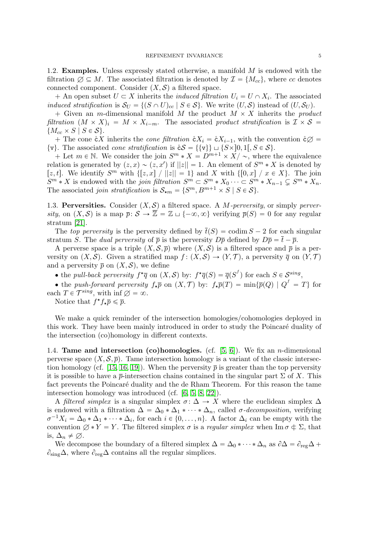1.2. **Examples.** Unless expressly stated otherwise, a manifold  $M$  is endowed with the filtration  $\emptyset \subseteq M$ . The associated filtration is denoted by  $\mathcal{I} = \{M_{cc}\}\$ , where cc denotes connected component. Consider  $(X, \mathcal{S})$  a filtered space.

+ An open subset  $U \subset X$  inherits the *induced filtration*  $U_i = U \cap X_i$ . The associated induced stratification is  $S_U = \{(S \cap U)_{cc} | S \in S\}$ . We write  $(U, S)$  instead of  $(U, S_U)$ .

+ Given an m-dimensional manifold M the product  $M \times X$  inherits the product filtration  $(M \times X)_i = M \times X_{i-m}$ . The associated product stratification is  $\mathcal{I} \times \mathcal{S} =$  ${M_{cc} \times S \mid S \in \mathcal{S}}.$ 

+ The cone  $\mathring{\mathsf{c}} X$  inherits the *cone filtration*  $\mathring{\mathsf{c}} X_i = \mathring{\mathsf{c}} X_{i-1}$ , with the convention  $\mathring{\mathsf{c}} \varnothing$  =  $\{v\}.$  The associated *cone stratification* is  $\mathcal{E} \mathcal{S} = \{\{v\}\}\sqcup \{S\times\}0, 1[, S \in \mathcal{S}\}.$ 

+ Let  $m \in \mathbb{N}$ . We consider the join  $S^m * X = D^{m+1} \times X / \sim$ , where the equivalence relation is generated by  $(z, x) \sim (z, x')$  if  $||z|| = 1$ . An element of  $S<sup>m</sup> * X$  is denoted by [z, t]. We identify  $S^m$  with  $\{[z, x] \mid ||z|| = 1\}$  and X with  $\{[0, x] \mid x \in X\}$ . The join  $S^m * X$  is endowed with the *join filtration*  $S^m \subset S^m * X_0 \cdots \subset S^m * X_{n-1} \subsetneq S^m * X_n$ . The associated *join stratification* is  $S_{\star m} = \{S^m, B^{m+1} \times S \mid S \in S\}.$ 

1.3. Perversities. Consider  $(X, \mathcal{S})$  a filtered space. A M-perversity, or simply perversity, on  $(X, S)$  is a map  $\overline{p}: S \to \overline{\mathbb{Z}} = \mathbb{Z} \cup \{-\infty, \infty\}$  verifying  $\overline{p}(S) = 0$  for any regular stratum [21].

The top perversity is the perversity defined by  $\bar{t}(S) = \text{codim } S - 2$  for each singular stratum S. The dual perversity of  $\bar{p}$  is the perversity  $D\bar{p}$  defined by  $D\bar{p} = \bar{t} - \bar{p}$ .

A perverse space is a triple  $(X, \mathcal{S}, \overline{p})$  where  $(X, \mathcal{S})$  is a filtered space and  $\overline{p}$  is a perversity on  $(X, S)$ . Given a stratified map  $f : (X, S) \to (Y, \mathcal{T})$ , a perversity  $\overline{q}$  on  $(Y, \mathcal{T})$ and a perversity  $\bar{p}$  on  $(X, S)$ , we define

• the *pull-back perversity*  $f^{\star}\overline{q}$  on  $(X, \mathcal{S})$  by:  $f^{\star}\overline{q}(S) = \overline{q}(S^f)$  for each  $S \in \mathcal{S}^{sing}$ ,

• the push-forward perversity  $f_{\star} \overline{p}$  on  $(X, \mathcal{T})$  by:  $f_{\star} \overline{p}(T) = \min\{\overline{p}(Q) \mid Q^f = T\}$  for each  $T \in \mathcal{T}^{sing}$ , with  $\inf \emptyset = \infty$ .

Notice that  $f^{\star} f_{\star} \overline{p} \leq \overline{p}$ .

We make a quick reminder of the intersection homologies/cohomologies deployed in this work. They have been mainly introduced in order to study the Poincaré duality of the intersection (co)homology in different contexts.

1.4. **Tame and intersection (co)homologies.** (cf.  $[5, 6]$ ). We fix an *n*-dimensional perverse space  $(X, \mathcal{S}, \overline{p})$ . Tame intersection homology is a variant of the classic intersection homology (cf. [15, 16, 19]). When the perversity  $\bar{p}$  is greater than the top perversity it is possible to have a  $\bar{p}$ -intersection chains contained in the singular part  $\Sigma$  of X. This fact prevents the Poincaré duality and the de Rham Theorem. For this reason the tame intersection homology was introduced (cf. [6, 5, 8, 22]).

A filtered simplex is a singular simplex  $\sigma: \Delta \to X$  where the euclidean simplex  $\Delta$ is endowed with a filtration  $\Delta = \Delta_0 * \Delta_1 * \cdots * \Delta_n$ , called  $\sigma$ -decomposition, verifying  $\sigma^{-1}X_i = \Delta_0 * \Delta_1 * \cdots * \Delta_i$ , for each  $i \in \{0, \ldots, n\}$ . A factor  $\Delta_i$  can be empty with the convention  $\emptyset * Y = Y$ . The filtered simplex  $\sigma$  is a *regular simplex* when Im  $\sigma \notin \Sigma$ , that is,  $\Delta_n \neq \emptyset$ .

We decompose the boundary of a filtered simplex  $\Delta = \Delta_0 * \cdots * \Delta_n$  as  $\partial \Delta = \partial_{reg} \Delta +$  $\partial_{\text{sing}}\Delta$ , where  $\partial_{\text{reg}}\Delta$  contains all the regular simplices.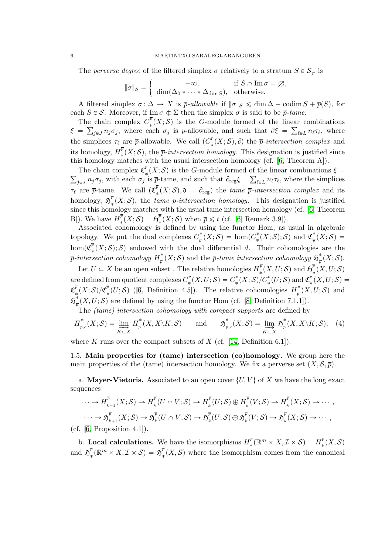The *perverse degree* of the filtered simplex  $\sigma$  relatively to a stratum  $S \in S_{\mathcal{F}}$  is

$$
\|\sigma\|_{S} = \begin{cases}\n-\infty, & \text{if } S \cap \text{Im }\sigma = \varnothing, \\
\dim(\Delta_0 * \cdots * \Delta_{\dim S}), & \text{otherwise.} \n\end{cases}
$$

A filtered simplex  $\sigma: \Delta \to X$  is  $\bar{p}$ -allowable if  $\|\sigma\|_S \leq \dim \Delta - \text{codim } S + \bar{p}(S)$ , for each  $S \in \mathcal{S}$ . Moreover, if Im  $\sigma \notin \Sigma$  then the simplex  $\sigma$  is said to be  $\bar{p}$ -tame.

The chain complex  $C_*^{\bar{p}}$ e chain complex  $C^{\nu}_*(X; S)$  is the G-module formed of the linear combinations  $\xi = \sum_{j\in J} n_j \sigma_j$ , where each  $\sigma_j$  is  $\bar{p}$ -allowable, and such that  $\partial \xi = \sum_{\ell \in L} n_\ell \tau_\ell$ , where the simplices  $\tau_{\ell}$  are  $\bar{p}$ -allowable. We call  $(C_{*}^{\bar{p}})$  $\mathcal{F}_{*}^{\rho}(X;\mathcal{S}),\partial$  the  $\bar{p}\text{-}intersection complex$  and its homology,  $H_*^{\overline{p}}(X;\mathcal{S})$ , the  $\overline{p}\text{-}intersection homology$ . This designation is justified since this homology,  $\mathbf{r}_*(\mathbf{x}, \mathbf{y})$ , the  $P$  intersection homology. This designation is justified this homology matches with the usual intersection homology (cf. [6, Theorem A]).

The chain complex  $\mathfrak{C}_{*}^{\overline{p}}(X;\mathcal{S})$  is the G-module formed of the linear combinations  $\xi =$  $j_{\epsilon J} n_j \sigma_j$ , with each  $\sigma_j$  is  $\bar{p}$ -tame, and such that  $\partial_{\text{reg}} \xi = \sum_{\ell \in L} n_{\ell} \tau_{\ell}$ , where the simplices  $\tau_{\ell}$  are  $\bar{p}$ -tame. We call  $(\mathfrak{C}_{\ast}^{\bar{p}})$  $\mathcal{O}_{*}(X; S), \mathfrak{d} = \partial_{\text{reg}}$  the tame  $\bar{p}\text{-}intersection \ complex$  and its homology,  $\mathfrak{H}^{\overline{p}}$  $\frac{p}{\ast}(X; S)$ , the tame  $\bar{p}\text{-}intersection homology$ . This designation is justified since this homology matches with the usual tame intersection homology (cf. [6, Theorem B]). We have  $H_*^{\overline{p}}$  $\frac{\overline{p}}{*}(X;\mathcal{S})=\mathfrak{H}^{\overline{p}}_{*}$  $\frac{p}{*}(X; \mathcal{S})$  when  $\bar{p} \leq \bar{t}$  (cf. [6, Remark 3.9]).

Associated cohomology is defined by using the functor Hom, as usual in algebraic topology. We put the dual complexes  $C^*_{\overline{z}}$  $p^*_\overline{p}\left(X;\mathcal{S}\right) \,=\, \hom(C^{\overline{p}}_{*})$  $\mathfrak{C}^{\overline{p}}_{*}(X;\mathcal{S});\mathcal{S})$  and  $\mathfrak{C}^{\ast}_{\overline{p}}$  $\intop_{\overline{p}}\nolimits^{\scriptscriptstyle{\bullet}}(X;\mathcal{S})\,=\,$  $\hom(\mathfrak{C}_{*}^{\overline p})$  $\mathcal{L}_*(X; \mathcal{S})$ ; S) endowed with the dual differential d. Their cohomologies are the  $\overline{p}\mbox{-}intersection\,\, cohomology\,\, H^*_{\pi}$  $\frac{\partial}{\partial \bar{p}}(X;\mathcal{S})$  and the  $\bar{p}$ -tame intersection cohomology  $\mathfrak{H}^*_{\overline{p}}$  $\frac{\raisebox{.4ex}{\scriptsize{*}}}{\hbar}(X;\mathcal{S}).$ 

Let  $U \subset X$  be an open subset . The relative homologies  $H_*^{\bar{p}}$  $\mathbb{F}_{*}^{\overline{p}}(X,U;\mathcal{S}) \text{ and } \mathfrak{H}_{*}^{\overline{p}}$  $^p_*(X,U; {\mathcal S})$ are defined from quotient complexes  $C_*^{\bar p}$  $\overline{\mathcal{C}}_*^{\overline{p}}(X,U;\mathcal{S})=C_*^{\overline{p}}$  $\frac{p^{\overline{p}}}{\ast}(X;\mathcal{S})/C_{\ast}^{\overline{p}}$  $\mathfrak{C}^{\overline{p}}_{\ast}(U;\mathcal{S})\text{ and }\mathfrak{C}^{\overline{p}}_{\ast}$  $\int_{\ast}^{\nu} (X, U; \mathcal{S}) =$  $\mathfrak{C}^{\overline{p}}$  $\frac{\overline{p}}{*}(X;\mathcal{S})/\mathfrak{C}_{*}^{\overline{p}}$  $\frac{\bar{p}}{*}(U; S)$  ([6, Definition 4.5]). The relative cohomologies  $H^*_{\bar{p}}$  $\frac{1}{p}(X,U;S)$  and  $\mathfrak{H}^{\text{*}}_{_{\overline{\text{}}}}$  $\frac{1}{p}(X, U; \mathcal{S})$  are defined by using the functor Hom (cf. [8, Definition 7.1.1]).

The (tame) intersection cohomology with compact supports are defined by

$$
H_{\overline{p},c}^*(X;\mathcal{S}) = \varinjlim_{K \subset X} H_{\overline{p}}^*(X,X \setminus K;\mathcal{S}) \quad \text{and} \quad \mathfrak{H}_{\overline{p},c}^*(X;\mathcal{S}) = \varinjlim_{K \subset X} \mathfrak{H}_{\overline{p}}^*(X,X \setminus K;\mathcal{S}), \quad (4)
$$

where K runs over the compact subsets of X (cf. [14, Definition 6.1]).

1.5. Main properties for (tame) intersection (co)homology. We group here the main properties of the (tame) intersection homology. We fix a perverse set  $(X, \mathcal{S}, \overline{p})$ .

a. **Mayer-Vietoris.** Associated to an open cover  $\{U, V\}$  of X we have the long exact sequences

$$
\cdots \to H_{k+1}^{\overline{p}}(X; S) \to H_k^{\overline{p}}(U \cap V; S) \to H_k^{\overline{p}}(U; S) \oplus H_k^{\overline{p}}(V; S) \to H_k^{\overline{p}}(X; S) \to \cdots,
$$
  

$$
\cdots \to \mathfrak{H}_{k+1}^{\overline{p}}(X; S) \to \mathfrak{H}_k^{\overline{p}}(U \cap V; S) \to \mathfrak{H}_k^{\overline{p}}(U; S) \oplus \mathfrak{H}_k^{\overline{p}}(V; S) \to \mathfrak{H}_k^{\overline{p}}(X; S) \to \cdots,
$$
  
(cf. [6, Proposition 4.1]).

b. Local calculations. We have the isomorphisms  $H_z^{\bar{p}}$  $\mathbb{R}^{\overline{p}}(\mathbb{R}^m \times X, \mathcal{I} \times \mathcal{S}) = H^{\overline{p}}_{*}$  $\int_*^p(X,\mathcal{S})$ and  $\mathfrak{H}^{\overline{p}}$  $\frac{\overline{p}}{\ast}(\mathbb{R}^m\times X, \mathcal{I}\times\mathcal{S})\,=\,\mathfrak{H}^{\overline{p}}_{\ast}$  $\mathcal{L}_*(X, \mathcal{S})$  where the isomorphism comes from the canonical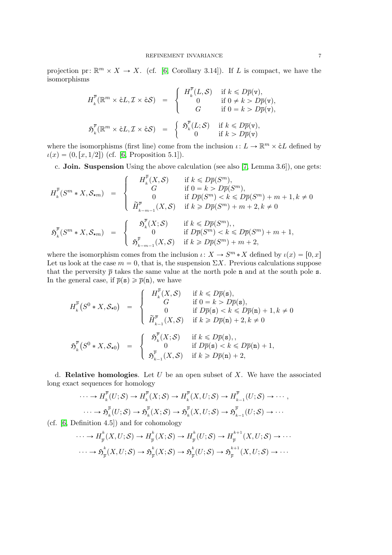projection pr:  $\mathbb{R}^m \times X \to X$ . (cf. [6, Corollary 3.14]). If L is compact, we have the isomorphisms

$$
H_k^{\overline{p}}(\mathbb{R}^m \times \mathring{\mathtt{c}} L, \mathcal{I} \times \mathring{\mathtt{c}} S) = \begin{cases} H_k^{\overline{p}}(L, \mathcal{S}) & \text{if } k \leq D\overline{p}(\mathtt{v}), \\ 0 & \text{if } 0 \neq k > D\overline{p}(\mathtt{v}), \\ G & \text{if } 0 = k > D\overline{p}(\mathtt{v}), \end{cases}
$$
\n
$$
\mathfrak{H}_k^{\overline{p}}(\mathbb{R}^m \times \mathring{\mathtt{c}} L, \mathcal{I} \times \mathring{\mathtt{c}} S) = \begin{cases} \mathfrak{H}_k^{\overline{p}}(L; \mathcal{S}) & \text{if } k \leq D\overline{p}(\mathtt{v}), \\ 0 & \text{if } k > D\overline{p}(\mathtt{v}), \end{cases}
$$

where the isomorphisms (first line) come from the inclusion  $\iota: L \to \mathbb{R}^m \times cL$  defined by  $u(x) = (0, [x, 1/2])$  (cf. [6, Proposition 5.1]).

c. **Join. Suspension** Using the above calculation (see also  $[7, \text{Lemma } 3.6]$ ), one gets:

$$
H_k^{\overline{p}}(S^m * X, \mathcal{S}_{\star m}) = \begin{cases} H_k^{\overline{p}}(X, \mathcal{S}) & \text{if } k \le D\overline{p}(S^m), \\ G & \text{if } 0 = k > D\overline{p}(S^m), \\ 0 & \text{if } D\overline{p}(S^m) < k \le D\overline{p}(S^m) + m + 1, k \ne 0 \\ \widetilde{H}_{k-m-1}^{\overline{p}}(X, \mathcal{S}) & \text{if } k \ge D\overline{p}(S^m) + m + 2, k \ne 0 \end{cases}
$$

$$
\mathfrak{H}_k^{\overline{p}}(S^m * X, \mathcal{S}_{\star m}) = \begin{cases} \mathfrak{H}_k^{\overline{p}}(X; \mathcal{S}) & \text{if } k \le D\overline{p}(S^m), \\ 0 & \text{if } D\overline{p}(S^m) < k \le D\overline{p}(S^m) + m + 1, \\ \mathfrak{H}_{k-m-1}^{\overline{p}}(X, \mathcal{S}) & \text{if } k \ge D\overline{p}(S^m) + m + 2, \end{cases}
$$

where the isomorphism comes from the inclusion  $\iota: X \to S^m * X$  defined by  $\iota(x) = [0, x]$ Let us look at the case  $m = 0$ , that is, the suspension  $\Sigma X$ . Previous calculations suppose that the perversity  $\bar{p}$  takes the same value at the north pole n and at the south pole s. In the general case, if  $\bar{p}(\mathbf{s}) \geq \bar{p}(\mathbf{n})$ , we have

$$
H_k^{\overline{p}}(S^0 * X, \mathcal{S}_{\star 0}) = \begin{cases} H_k^{\overline{p}}(X, \mathcal{S}) & \text{if } k \le D\overline{p}(\mathbf{s}), \\ G & \text{if } 0 = k > D\overline{p}(\mathbf{s}), \\ 0 & \text{if } D\overline{p}(\mathbf{s}) < k \le D\overline{p}(\mathbf{n}) + 1, k \ne 0 \\ \widetilde{H}_{k-1}^{\overline{p}}(X, \mathcal{S}) & \text{if } k \ge D\overline{p}(\mathbf{n}) + 2, k \ne 0 \end{cases}
$$

$$
\mathfrak{H}_k^{\overline{p}}(S^0 * X, \mathcal{S}_{\star 0}) = \begin{cases} \mathfrak{H}_k^{\overline{p}}(X; \mathcal{S}) & \text{if } k \le D\overline{p}(\mathbf{s}), \\ 0 & \text{if } D\overline{p}(\mathbf{s}) < k \le D\overline{p}(\mathbf{n}) + 1, \\ \mathfrak{H}_{k-1}^{\overline{p}}(X, \mathcal{S}) & \text{if } k \ge D\overline{p}(\mathbf{n}) + 2, \end{cases}
$$

d. **Relative homologies**. Let  $U$  be an open subset of  $X$ . We have the associated long exact sequences for homology

$$
\cdots \to H_k^{\overline{p}}(U; \mathcal{S}) \to H_k^{\overline{p}}(X; \mathcal{S}) \to H_k^{\overline{p}}(X, U; \mathcal{S}) \to H_{k-1}^{\overline{p}}(U; \mathcal{S}) \to \cdots,
$$

$$
\cdots \to \mathfrak{H}_k^{\overline{p}}(U; \mathcal{S}) \to \mathfrak{H}_k^{\overline{p}}(X; \mathcal{S}) \to \mathfrak{H}_k^{\overline{p}}(X, U; \mathcal{S}) \to \mathfrak{H}_{k-1}^{\overline{p}}(U; \mathcal{S}) \to \cdots
$$

(cf. [6, Definition 4.5]) and for cohomology

$$
\cdots \to H_{\overline{p}}^k(X, U; \mathcal{S}) \to H_{\overline{p}}^k(X; \mathcal{S}) \to H_{\overline{p}}^k(U; \mathcal{S}) \to H_{\overline{p}}^{k+1}(X, U; \mathcal{S}) \to \cdots
$$

$$
\cdots \to \mathfrak{H}_{\overline{p}}^k(X, U; \mathcal{S}) \to \mathfrak{H}_{\overline{p}}^k(X; \mathcal{S}) \to \mathfrak{H}_{\overline{p}}^k(U; \mathcal{S}) \to \mathfrak{H}_{\overline{p}}^{k+1}(X, U; \mathcal{S}) \to \cdots
$$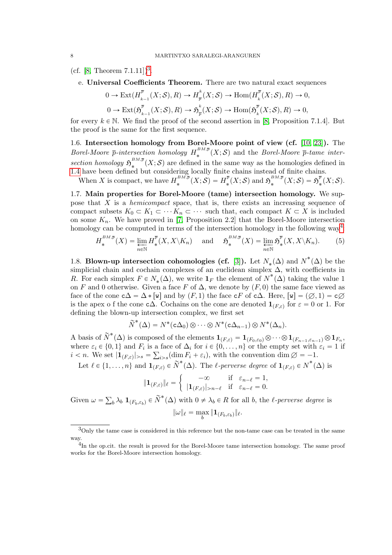(cf. [8, Theorem  $(7.1.11)$ ]<sup>3</sup>.

e. Universal Coefficients Theorem. There are two natural exact sequences

$$
0 \to \text{Ext}(H_{k-1}^{\overline{p}}(X; \mathcal{S}), R) \to H_{\overline{p}}^{k}(X; \mathcal{S}) \to \text{Hom}(H_{k}^{\overline{p}}(X; \mathcal{S}), R) \to 0,
$$
  

$$
0 \to \text{Ext}(\mathfrak{H}_{k-1}^{\overline{p}}(X; \mathcal{S}), R) \to \mathfrak{H}_{\overline{p}}^{k}(X; \mathcal{S}) \to \text{Hom}(\mathfrak{H}_{k}^{\overline{p}}(X; \mathcal{S}), R) \to 0,
$$

for every  $k \in \mathbb{N}$ . We find the proof of the second assertion in [8, Proposition 7.1.4]. But the proof is the same for the first sequence.

1.6. Intersection homology from Borel-Moore point of view (cf. [10, 23]). The Borel-Moore  $\bar{p}$ -intersection homology  $H_*^{BM,\bar{p}}$  $\mathbb{R}^{D,m,p}(X;\mathcal{S})$  and the *Borel-Moore*  $\bar{p}$ -tame intersection homology  $\mathfrak{H}^{BM,\overline{p}}_*$  $\sum_{k=1}^{n} (X; \mathcal{S})$  are defined in the same way as the homologies defined in 1.4 have been defined but considering locally finite chains instead of finite chains.

When X is compact, we have  $H_*^{BM,\bar{p}}$  $\mu_*^{^{BM,\overline{p}}}(X;\mathcal{S})=H_*^{\overline{p}}$  $\mathbb{E}_{*}^{\overline{p}}(X;\mathcal{S}) \text{ and } \mathfrak{H}_{*}^{BM,\overline{p}}$  $\mathfrak{s}^{BM,\overline{p}}(X;\mathcal{S})=\mathfrak{H}^{\overline{p}}_{\overline{\mathfrak{s}}}$  $_{*}^{\nu}(X;\mathcal{S}).$ 

1.7. Main properties for Borel-Moore (tame) intersection homology. We suppose that  $X$  is a *hemicompact* space, that is, there exists an increasing sequence of compact subsets  $K_0 \subset K_1 \subset \cdots K_n \subset \cdots$  such that, each compact  $K \subset X$  is included on some  $K_n$ . We have proved in [7, Proposition 2.2] that the Borel-Moore intersection homology can be computed in terms of the intersection homology in the following way<sup>4</sup>:

$$
H_*^{BM,\overline{p}}(X) = \varprojlim_{n \in \mathbb{N}} H_*^{\overline{p}}(X, X \setminus K_n) \quad \text{and} \quad \mathfrak{H}_*^{BM,\overline{p}}(X) = \varprojlim_{n \in \mathbb{N}} \mathfrak{H}_*^{\overline{p}}(X, X \setminus K_n). \tag{5}
$$

1.8. Blown-up intersection cohomologies (cf. [3]). Let  $N_*(\Delta)$  and  $N^*(\Delta)$  be the simplicial chain and cochain complexes of an euclidean simplex  $\Delta$ , with coefficients in R. For each simplex  $F \in N_*(\Delta)$ , we write  $\mathbf{1}_F$  the element of  $N^*(\Delta)$  taking the value 1 on F and 0 otherwise. Given a face F of  $\Delta$ , we denote by  $(F, 0)$  the same face viewed as face of the cone  $c\Delta = \Delta * [\mathbf{w}]$  and by  $(F, 1)$  the face  $cF$  of  $c\Delta$ . Here,  $[\mathbf{w}] = (\emptyset, 1) = c\emptyset$ is the apex o f the cone  $c\Delta$ . Cochains on the cone are denoted  $\mathbf{1}_{(F,\varepsilon)}$  for  $\varepsilon = 0$  or 1. For defining the blown-up intersection complex, we first set

$$
\widetilde{N}^*(\Delta) = N^*(c\Delta_0) \otimes \cdots \otimes N^*(c\Delta_{n-1}) \otimes N^*(\Delta_n).
$$

A basis of  $\widetilde{N}^*(\Delta)$  is composed of the elements  $\mathbf{1}_{(F,\varepsilon)} = \mathbf{1}_{(F_0,\varepsilon_0)} \otimes \cdots \otimes \mathbf{1}_{(F_{n-1},\varepsilon_{n-1})} \otimes \mathbf{1}_{F_n}$ , where  $\varepsilon_i \in \{0, 1\}$  and  $F_i$  is a face of  $\Delta_i$  for  $i \in \{0, ..., n\}$  or the empty set with  $\varepsilon_i = 1$  if  $i < n$ . We set  $|\mathbf{1}_{(F,\varepsilon)}|_{>s} = \sum_{i>s} (\dim F_i + \varepsilon_i)$ , with the convention  $\dim \emptyset = -1$ .

Let  $\ell \in \{1, ..., n\}$  and  $\mathbf{1}_{(F,\varepsilon)} \in \widetilde{N}^*(\Delta)$ . The  $\ell$ -perverse degree of  $\mathbf{1}_{(F,\varepsilon)} \in N^*(\Delta)$  is

$$
\|\mathbf{1}_{(F,\varepsilon)}\|_{\ell} = \begin{cases}\n-\infty & \text{if } \varepsilon_{n-\ell} = 1, \\
|\mathbf{1}_{(F,\varepsilon)}|_{n-\ell} & \text{if } \varepsilon_{n-\ell} = 0.\n\end{cases}
$$

Given  $\omega =$  $_b \lambda_b \mathbf{1}_{(F_b, \varepsilon_b)} \in \widetilde{N}^*(\Delta)$  with  $0 \neq \lambda_b \in R$  for all b, the l-perverse degree is

$$
\|\omega\|_{\ell} = \max_{b} \|\mathbf{1}_{(F_b,\varepsilon_b)}\|_{\ell}.
$$

<sup>3</sup>Only the tame case is considered in this reference but the non-tame case can be treated in the same way.

<sup>&</sup>lt;sup>4</sup>In the op.cit. the result is proved for the Borel-Moore tame intersection homology. The same proof works for the Borel-Moore intersection homology.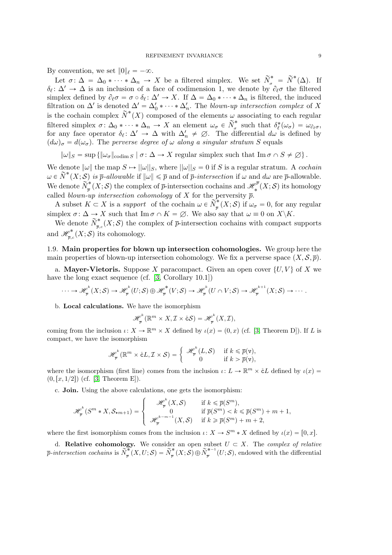By convention, we set  $||0||_{\ell} = -\infty$ .

Let  $\sigma: \Delta = \Delta_0 * \cdots * \Delta_n \to X$  be a filtered simplex. We set  $\widetilde{N}_{\sigma}^* = \widetilde{N}^*(\Delta)$ . If  $\delta_{\ell} \colon \Delta' \to \Delta$  is an inclusion of a face of codimension 1, we denote by  $\partial_{\ell} \sigma$  the filtered simplex defined by  $\partial_{\ell}\sigma = \sigma \circ \delta_{\ell} : \Delta' \to X$ . If  $\Delta = \Delta_0 * \cdots * \Delta_n$  is filtered, the induced filtration on  $\Delta'$  is denoted  $\Delta' = \Delta'_0 * \cdots * \Delta'_n$ . The blown-up intersection complex of X is the cochain complex  $\widetilde{N}^*(X)$  composed of the elements  $\omega$  associating to each regular filtered simplex  $\sigma: \Delta_0 * \cdots * \Delta_n \to X$  an element  $\omega_{\sigma} \in \widetilde{N}_{\sigma}^*$  $\sigma_{\sigma}^*$  such that  $\delta_{\ell}^*(\omega_{\sigma}) = \omega_{\partial_{\ell}\sigma}$ , for any face operator  $\delta_{\ell} \colon \Delta' \to \Delta$  with  $\Delta'_{n} \neq \emptyset$ . The differential  $d\omega$  is defined by  $(d\omega)_{\sigma} = d(\omega_{\sigma})$ . The perverse degree of  $\omega$  along a singular stratum S equals

 $\|\omega\|_{S} = \sup \{ \|\omega_{\sigma}\|_{\text{codim }S} \mid \sigma \colon \Delta \to X \text{ regular simplex such that } \text{Im } \sigma \cap S \neq \emptyset \}.$ 

We denote  $\|\omega\|$  the map  $S \mapsto ||\omega||_S$ , where  $||\omega||_S = 0$  if S is a regular stratum. A cochain  $\omega \in \widetilde{N}^*(X;\mathcal{S})$  is  $\overline{p}\text{-}allowable$  if  $\|\omega\| \leq \overline{p}$  and of  $\overline{p}\text{-}intersection$  if  $\omega$  and  $d\omega$  are  $\overline{p}\text{-}allowable$ . We denote  $\widetilde{N}^*$  $p^* = \binom{m}{\bar{p}}$  (X; S) the complex of  $\bar{p}$ -intersection cochains and  $\mathscr{H}_*^{\bar{p}}$  $\mathcal{C}^p_*(X; \mathcal{S})$  its homology called *blown-up intersection cohomology* of X for the perversity  $\bar{p}$ .

A subset  $K \subset X$  is a support of the cochain  $\omega \in \widetilde{N}_{\overline{n}}^*$  $\int_{\overline{p}}^{\infty}(X; S)$  if  $\omega_{\sigma} = 0$ , for any regular simplex  $\sigma: \Delta \to X$  such that Im  $\sigma \cap K = \emptyset$ . We also say that  $\omega \equiv 0$  on  $X \backslash K$ .

We denote  $\widetilde{N}^*_{\overline{z}}$  $\overline{p}_{\overline{p},c}(X;\mathcal{S})$  the complex of  $\overline{p}$ -intersection cochains with compact supports and  $\mathscr{H}_{\overline{n}}^*$  $\mathcal{P}_{\overline{p},c}^{\bullet}(X;\mathcal{S})$  its cohomology.

1.9. Main properties for blown up intersection cohomologies. We group here the main properties of blown-up intersection cohomology. We fix a perverse space  $(X, \mathcal{S}, \overline{p})$ .

a. **Mayer-Vietoris.** Suppose X paracompact. Given an open cover  $\{U, V\}$  of X we have the long exact sequence (cf. [3, Corollary 10.1])

$$
\cdots \to \mathscr{H}_{\overline{p}}^{k}(X;\mathcal{S}) \to \mathscr{H}_{\overline{p}}^{k}(U;\mathcal{S}) \oplus \mathscr{H}_{\overline{p}}^{*}(V;\mathcal{S}) \to \mathscr{H}_{\overline{p}}^{k}(U \cap V;\mathcal{S}) \to \mathscr{H}_{\overline{p}}^{k+1}(X;\mathcal{S}) \to \cdots
$$

b. Local calculations. We have the isomorphism

$$
\mathscr{H}_{\overline{p}}^{k}(\mathbb{R}^{m}\times X,\mathcal{I}\times\mathring{\mathrm{c}}\mathcal{S})=\mathscr{H}_{\overline{p}}^{k}(X,\mathcal{I}),
$$

coming from the inclusion  $\iota: X \to \mathbb{R}^m \times X$  defined by  $\iota(x) = (0, x)$  (cf. [3, Theorem D]). If L is compact, we have the isomorphism

$$
\mathscr{H}_{\overline{p}}^{\kappa}(\mathbb{R}^m \times \mathring{\mathrm{c}} L, \mathcal{I} \times \mathcal{S}) = \left\{ \begin{array}{cl} \mathscr{H}_{\overline{p}}^{\kappa}(L, \mathcal{S}) & \text{if } k \leq \overline{p}(\mathtt{v}), \\ 0 & \text{if } k > \overline{p}(\mathtt{v}), \end{array} \right.
$$

where the isomorphism (first line) comes from the inclusion  $\iota: L \to \mathbb{R}^m \times cL$  defined by  $\iota(x) =$  $(0, [x, 1/2])$  (cf. [3, Theorem E]).

c. **Join.** Using the above calculations, one gets the isomorphism:

$$
\mathscr{H}_{\overline{p}}^k(S^m * X, \mathcal{S}_{\star m+1}) = \begin{cases} \mathscr{H}_{\overline{p}}^k(X, \mathcal{S}) & \text{if } k \leq \overline{p}(S^m), \\ 0 & \text{if } \overline{p}(S^m) < k \leq \overline{p}(S^m) + m + 1, \\ \mathscr{H}_{\overline{p}}^{k-m-1}(X, \mathcal{S}) & \text{if } k \geq \overline{p}(S^m) + m + 2, \end{cases}
$$

where the first isomorphism comes from the inclusion  $\iota: X \to S^m * X$  defined by  $\iota(x) = [0, x]$ .

d. **Relative cohomology.** We consider an open subset  $U \subset X$ . The *complex of relative*  $\overline{p}\text{-}intersection\,\,cochains\,\,is\,\, \widetilde{N}^*_{\overline{p}}$  $\widetilde{\psi}_{\overline{p}}^{*}(X,U;\mathcal{S})=\widetilde{N}_{\overline{p}}^{*}$  $\widetilde{\ell}_p^*\left(X; \mathcal{S}\right) \oplus \widetilde{N}_{\overline{p}}^{*-1}$  $\int_{\overline{p}}^{p-1}(U;S)$ , endowed with the differential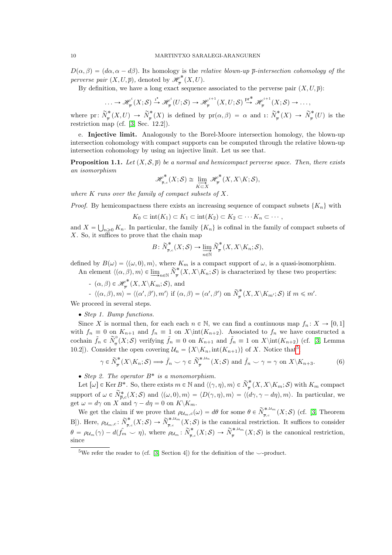$D(\alpha, \beta) = (d\alpha, \alpha - d\beta)$ . Its homology is the relative blown-up  $\bar{p}$ -intersection cohomology of the perverse pair  $(X, U, \overline{p})$ , denoted by  $\mathscr{H}_{\overline{n}}^*$  $_{\overline{p}}^{\sigma^{\boldsymbol{r}}\!}(X,U).$ 

By definition, we have a long exact sequence associated to the perverse pair  $(X, U, \overline{p})$ :

$$
\ldots \to \mathscr{H}_{\overline{p}}^{i}(X;\mathcal{S}) \xrightarrow{\iota^{*}} \mathscr{H}_{\overline{p}}^{i}(U;\mathcal{S}) \to \mathscr{H}_{\overline{p}}^{i+1}(X,U;\mathcal{S}) \xrightarrow{\text{pr}^{*}} \mathscr{H}_{\overline{p}}^{i+1}(X;\mathcal{S}) \to \ldots,
$$

where pr:  $\widetilde{N}^*_{\overline{z}}$  $\widetilde{\mathbb{P}}^{*}(X,U) \to \widetilde{N}_{\overline{p}}^{*}$  $p^* \left(X\right)$  is defined by  $pr(\alpha, \beta) = \alpha$  and i:  $\widetilde{N}_{\overline{p}}^*$  $\frac{\widetilde{N}^*}{\overline{p}}(X) \rightarrow \widetilde{N}^*_{\overline{p}}$  $\int_{\overline{p}}^{\infty} (U)$  is the restriction map (cf. [3, Sec. 12.2]).

e. Injective limit. Analogously to the Borel-Moore intersection homology, the blown-up intersection cohomology with compact supports can be computed through the relative blown-up intersection cohomology by using an injective limit. Let us see that.

**Proposition 1.1.** Let  $(X, \mathcal{S}, \overline{p})$  be a normal and hemicompact perverse space. Then, there exists an isomorphism

$$
\mathscr{H}^*_{\overline{\mathbb{P}},c}(X;\mathcal{S})\cong \varinjlim_{K\subset X}\mathscr{H}^*_{\overline{\mathbb{P}}}(X,X\backslash K;\mathcal{S}),
$$

where  $K$  runs over the family of compact subsets of  $X$ .

*Proof.* By hemicompactness there exists an increasing sequence of compact subsets  $\{K_n\}$  with

$$
K_0 \subset \text{int}(K_1) \subset K_1 \subset \text{int}(K_2) \subset K_2 \subset \cdots K_n \subset \cdots,
$$

and  $X =$  $n\geq 0$  K<sub>n</sub>. In particular, the family  $\{K_n\}$  is cofinal in the family of compact subsets of  $X$ . So, it suffices to prove that the chain map

$$
B\colon \tilde{N}^*_{_{\overline{p},c}}(X;\mathcal{S})\rightarrow \varinjlim_{n\in\mathbb{N}}\tilde{N}^*_{_{\overline{p}}}(X,X\backslash K_n;\mathcal{S}),
$$

defined by  $B(\omega) = \langle (\omega, 0), m \rangle$ , where  $K_m$  is a compact support of  $\omega$ , is a quasi-isomorphism.

An element  $\langle (\alpha, \beta), m \rangle \in \lim_{n \in \mathbb{N}} \widetilde{N}_{\overline{p}}^*$  $\int_{\overline{p}}^{\infty}(X, X \setminus K_n; \mathcal{S})$  is characterized by these two properties:

 $- (\alpha, \beta) \in \mathscr{H}_{\overline{n}}^*$  $\frac{\varphi^*}{\overline{p}}(X,X\backslash K_m;S),$  and

$$
\text{- }\langle (\alpha,\beta),m\rangle = \langle (\alpha',\beta'),m'\rangle \text{ if } (\alpha,\beta)=(\alpha',\beta') \text{ on } \widetilde{N}_{\overline{p}}^*(X,X\setminus K_{m'};\mathcal{S}) \text{ if } m\leqslant m'.
$$

We proceed in several steps.

• Step 1. Bump functions.

Since X is normal then, for each each  $n \in \mathbb{N}$ , we can find a continuous map  $f_n : X \to [0, 1]$ with  $f_n \equiv 0$  on  $K_{n+1}$  and  $f_n \equiv 1$  on  $X\int(K_{n+2})$ . Associated to  $f_n$  we have constructed a cochain  $\tilde{f}_n \in \tilde{N}_{\overline{n}}^0$  $\frac{0}{\sigma}(X; S)$  verifying  $\tilde{f}_n \equiv 0$  on  $K_{n+1}$  and  $\tilde{f}_n \equiv 1$  on  $X\int(K_{n+2})$  (cf. [3, Lemma 10.2]). Consider the open covering  $\mathcal{U}_n = \{X \setminus K_n, \text{int}(K_{n+1})\}$  of X. Notice that<sup>5</sup>,

$$
\gamma \in \widetilde{N}_{\overline{p}}^{*}(X \setminus K_n; \mathcal{S}) \Longrightarrow \widetilde{f}_n \smile \gamma \in \widetilde{N}_{\overline{p}}^{*, \mathcal{U}_n}(X; \mathcal{S}) \text{ and } \widetilde{f}_n \smile \gamma = \gamma \text{ on } X \setminus K_{n+3}.
$$
 (6)

• Step 2. The operator  $B^*$  is a monomorphism.

Let  $[\omega] \in \text{Ker } B^*$ . So, there exists  $m \in \mathbb{N}$  and  $\langle (\gamma, \eta), m \rangle \in \widetilde{N}_{\overline{n}}^*$  $\int_{\overline{p}}^{\infty}(X,X\backslash K_m;\mathcal{S})$  with  $K_m$  compact support of  $\omega \in \widetilde{N}_{\overline{p},c}^{*}(X;\mathcal{S})$  and  $\langle(\omega,0),m\rangle = \langle D(\gamma,\eta),m\rangle = \langle(d\gamma,\gamma-d\eta),m\rangle$ . In particular, we get  $\omega = d\gamma$  on X and  $\gamma - d\eta = 0$  on  $K\backslash K_m$ .

We get the claim if we prove that  $\rho_{\mathcal{U}_m,c}(\omega) = d\theta$  for some  $\theta \in \widetilde{N}^{*,\mathcal{U}_m}_{\overline{p},c}$  $\int_{\overline{p},c}^{\widehat{\pi},\alpha,m}(X;\mathcal{S})$  (cf. [3, Theorem B]). Here,  $\rho_{\mathcal{U}_m,c}$ :  $\widetilde{N}_{\overline{v}_m}^*$  $\widetilde{N}_{\overline{p},c}^{*,\mathcal{U}_m}(X;\mathcal{S})\to \widetilde{N}_{\overline{p},c}^{*,\mathcal{U}_m}$  $\mathcal{F}_{\overline{p},c}^{*,\alpha_m}(X;\mathcal{S})$  is the canonical restriction. It suffices to consider  $\theta = \rho_{\mathcal{U}_m}(\gamma) - d(\tilde{f}_m \cup \eta)$ , where  $\rho_{\mathcal{U}_m} : \tilde{N}_{\overline{v}_m}^*$  $\widetilde{N}_{\overline{p},c}^*(X;\mathcal{S}) \to \widetilde{N}_{\overline{p}}^{*,\mathcal{U}_m}$  $p_{\overline{p}}^{\pi,\alpha,m}(X;\mathcal{S})$  is the canonical restriction, since

<sup>&</sup>lt;sup>5</sup>We refer the reader to (cf. [3, Section 4]) for the definition of the  $\sim$ -product.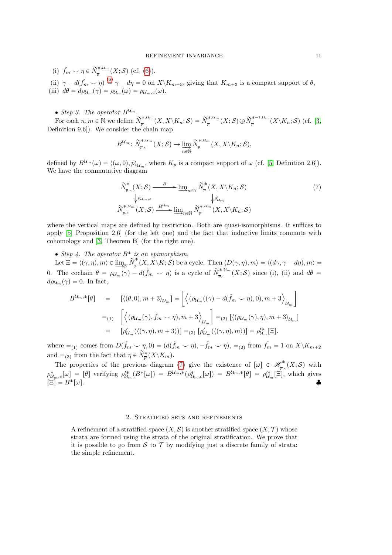(i)  $\tilde{f}_m \smile \eta \in \widetilde{N}_{\overline{n}}^{*,\mathcal{U}_m}$  $\frac{1}{p}^{*,\omega_m}(X;\mathcal{S})$  (cf. (6)). (ii)  $\gamma - d(f_m \smile \eta) \stackrel{(6)}{=} \gamma - d\eta = 0$  on  $X \setminus K_{m+3}$ , giving that  $K_{m+3}$  is a compact support of  $\theta$ , (iii)  $d\theta = d\rho_{\mathcal{U}_m}(\gamma) = \rho_{\mathcal{U}_m}(\omega) = \rho_{\mathcal{U}_m,c}(\omega).$ 

• Step 3. The operator  $B^{\mathcal{U}_m}$ .

For each  $n, m \in \mathbb{N}$  we define  $\widetilde{N}_{\overline{n}}^{*,\mathcal{U}_m}$  $\widetilde{p}^{*, \mathcal{U}_m}_\mathcal{\overline{P}}(X, X\backslash K_n; \mathcal{S}) = \widetilde{N}^{*, \mathcal{U}_m}_\mathcal{\overline{P}}$  $\widetilde{p}^{*, \mathcal{U}_m}_\not\equiv (X; \mathcal{S}) \oplus \widetilde{N}^{*-1, \mathcal{U}_m}_\not\equiv$  $\frac{1}{p}^{\pi^{-1, \alpha, m}}(X \backslash K_n; \mathcal{S})$  (cf. [3, Definition 9.6]). We consider the chain map

$$
B^{\mathcal{U}_m} \colon \widetilde{N}^{*,\mathcal{U}_m}_{\overline{p},c}(X;\mathcal{S}) \to \varinjlim_{n \in \mathbb{N}} \widetilde{N}^{*,\mathcal{U}_m}_{\overline{p}}(X,X \backslash K_n;\mathcal{S}),
$$

defined by  $B^{\mathcal{U}_m}(\omega) = \langle (\omega, 0), p \rangle_{\mathcal{U}_m}$ , where  $K_p$  is a compact support of  $\omega$  (cf. [5, Definition 2.6]). We have the commutative diagram

$$
\widetilde{N}_{\overline{p},c}^{*}(X;\mathcal{S}) \xrightarrow{B} \underline{\lim}_{n \in \mathbb{N}} \widetilde{N}_{\overline{p}}^{*}(X,X \setminus K_{n};\mathcal{S})
$$
\n
$$
\downarrow \rho u_{m,c} \qquad \qquad \downarrow \rho' u_{m}
$$
\n
$$
\widetilde{N}_{\overline{p},c}^{*,\mathcal{U}_{m}}(X;\mathcal{S}) \xrightarrow{B^{\mathcal{U}_{m}}} \underline{\lim}_{n \in \mathbb{N}} \widetilde{N}_{\overline{p}}^{*,\mathcal{U}_{m}}(X,X \setminus K_{n};\mathcal{S})
$$
\n
$$
(7)
$$

where the vertical maps are defined by restriction. Both are quasi-isomorphisms. It suffices to apply [5, Proposition 2.6] (for the left one) and the fact that inductive limits commute with cohomology and [3, Theorem B] (for the right one).

• Step 4. The operator  $B^*$  is an epimorphism.

Let  $\Xi = \langle (\gamma, \eta), m \rangle \in \varinjlim_{\mathbb{N}} \widetilde{N}_{\overline{p}}^*$  $p^{\ast}_{\overline{p}}(X, X \setminus K; S)$  be a cycle. Then  $\langle D(\gamma, \eta), m \rangle = \langle (d\gamma, \gamma - d\eta), m \rangle =$ 0. The cochain  $\theta = \rho_{\mathcal{U}_m}(\gamma) - d(\tilde{f}_m \smile \eta)$  is a cycle of  $\tilde{N}^{*,\mathcal{U}_m}_{\bar{\mathcal{P}},c}$  $\sum_{\bar{p},c}^{\infty,\alpha_m}(X;\mathcal{S})$  since (i), (ii) and  $d\theta =$  $d\rho_{\mathcal{U}_m}(\gamma) = 0$ . In fact,

$$
B^{\mathcal{U}_m,*}[\theta] = [\langle (\theta,0), m+3 \rangle_{\mathcal{U}_m}] = \left[ \langle (\rho_{\mathcal{U}_m}((\gamma) - d(\tilde{f}_m \smile \eta), 0), m+3 \rangle_{\mathcal{U}_m} \right]
$$
  
\n
$$
=_{(1)} \left[ \langle (\rho_{\mathcal{U}_m}(\gamma), \tilde{f}_m \smile \eta), m+3 \rangle_{\mathcal{U}_m} \right] =_{(2)} [\langle (\rho_{\mathcal{U}_m}(\gamma), \eta), m+3 \rangle_{\mathcal{U}_m}]
$$
  
\n
$$
= [\rho'_{\mathcal{U}_m}(\langle (\gamma, \eta), m+3 \rangle)] =_{(3)} [\rho'_{\mathcal{U}_m}(\langle (\gamma, \eta), m \rangle)] = \rho'^*_{\mathcal{U}_m}[\Xi].
$$

where  $=_{(1)}$  comes from  $D(\tilde{f}_m \smile \eta, 0) = (d(\tilde{f}_m \smile \eta), -\tilde{f}_m \smile \eta), =_{(2)}$  from  $\tilde{f}_m = 1$  on  $X \setminus K_{m+2}$ and  $=$ <sub>(3)</sub> from the fact that  $\eta \in \widetilde{N}_{\overline{p}}^{*}(X \backslash K_{m})$ .

The properties of the previous diagram (7) give the existence of  $[\omega] \in \mathcal{H}_{\overline{n}}^*$  $\frac{\varphi^*}{\overline{p},c}(X;\mathcal{S})$  with  $\rho^*_{\mathcal{U}_m,c}[\omega] = [\theta]$  verifying  $\rho'^*_{\mathcal{U}_m}(B^*[\omega]) = B^{\mathcal{U}_m,*}(\rho^*_{\mathcal{U}_m,c}[\omega]) = B^{\mathcal{U}_m,*}[\theta] = \rho'^*_{\mathcal{U}_m}[\Xi]$ , which gives  $[\Xi] = B^*[\omega].$ 

#### 2. Stratified sets and refinements

A refinement of a stratified space  $(X, \mathcal{S})$  is another stratified space  $(X, \mathcal{T})$  whose strata are formed using the strata of the original stratification. We prove that it is possible to go from S to T by modifying just a discrete family of strata: the simple refinement.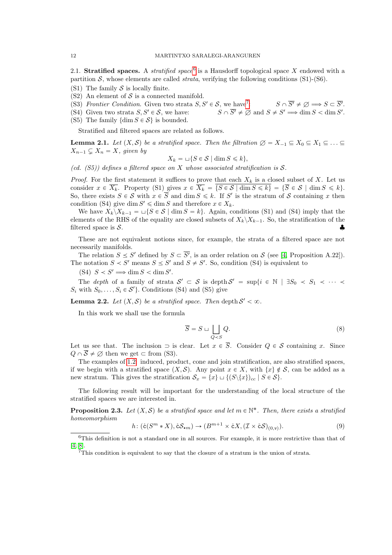2.1. Stratified spaces. A *stratified space*<sup>6</sup> is a Hausdorff topological space X endowed with a partition  $S$ , whose elements are called *strata*, verifying the following conditions (S1)-(S6).

- (S1) The family  $S$  is locally finite.
- $(S2)$  An element of S is a connected manifold.
- (S3) Frontier Condition. Given two strata  $S, S' \in \mathcal{S}$ , we have<sup>7</sup>: :  $S \cap \overline{S'} \neq \emptyset \Longrightarrow S \subset \overline{S'}.$
- (S4) Given two strata  $S, S' \in \mathcal{S}$ , we have:  $\prime \Longrightarrow \dim S < \dim S'.$
- (S5) The family  $\{\dim S \in \mathcal{S}\}\$ is bounded.

Stratified and filtered spaces are related as follows.

**Lemma 2.1.** Let  $(X, \mathcal{S})$  be a stratified space. Then the filtration  $\varnothing = X_{-1} \subseteq X_0 \subseteq X_1 \subseteq \ldots \subseteq X_n$  $X_{n-1} \subsetneq X_n = X$ , given by

$$
X_k = \sqcup \{ S \in \mathcal{S} \mid \dim S \leq k \},\
$$

(cd.  $(55)$ ) defines a filtered space on X whose associated stratification is S.

*Proof.* For the first statement it suffices to prove that each  $X_k$  is a closed subset of X. Let us consider  $x \in \overline{X_k}$ . Property (S1) gives  $x \in \overline{X_k} = \{S \in \mathcal{S} \mid \dim S \leq k\} = \{\overline{S} \in \mathcal{S} \mid \dim S \leq k\}.$ So, there exists  $S \in \mathcal{S}$  with  $x \in \overline{S}$  and dim  $S \leq k$ . If S' is the stratum of S containing x then condition (S4) give dim  $S' \leq \dim S$  and therefore  $x \in X_k$ .

We have  $X_k \backslash X_{k-1} = \sqcup \{S \in \mathcal{S} \mid \dim S = k\}.$  Again, conditions (S1) and (S4) imply that the elements of the RHS of the equality are closed subsets of  $X_k \backslash X_{k-1}$ . So, the stratification of the filtered space is  $S$ .

These are not equivalent notions since, for example, the strata of a filtered space are not necessarily manifolds.

The relation  $S \leq S'$  defined by  $S \subset \overline{S'}$ , is an order relation on S (see [4, Proposition A.22]). The notation  $S \leq S'$  means  $S \leq S'$  and  $S \neq S'$ . So, condition (S4) is equivalent to

(S4)  $S < S' \implies \dim S < \dim S'.$ 

The depth of a family of strata  $\mathcal{S}' \subset \mathcal{S}$  is depth  $\mathcal{S}' = \sup\{i \in \mathbb{N} \mid \exists S_0 \prec S_1 \prec \cdots \prec$  $S_i$  with  $S_0, \ldots, S_i \in \mathcal{S}'$ . Conditions (S4) and (S5) give

**Lemma 2.2.** Let  $(X, \mathcal{S})$  be a stratified space. Then depth  $\mathcal{S}' < \infty$ .

In this work we shall use the formula

$$
\overline{S} = S \sqcup \bigsqcup_{Q < S} Q. \tag{8}
$$

Let us see that. The inclusion  $\supset$  is clear. Let  $x \in \overline{S}$ . Consider  $Q \in \mathcal{S}$  containing x. Since  $Q \cap \overline{S} \neq \emptyset$  then we get  $\subset$  from (S3).

The examples of 1.2: induced, product, cone and join stratification, are also stratified spaces, if we begin with a stratified space  $(X, \mathcal{S})$ . Any point  $x \in X$ , with  $\{x\} \notin \mathcal{S}$ , can be added as a new stratum. This gives the stratification  $\mathcal{S}_x = \{x\} \sqcup \{ (S \setminus \{x\})_{cc} | S \in \mathcal{S} \}.$ 

The following result will be important for the understanding of the local structure of the stratified spaces we are interested in.

**Proposition 2.3.** Let  $(X, \mathcal{S})$  be a stratified space and let  $m \in \mathbb{N}^*$ . Then, there exists a stratified homeomorphism

$$
h\colon (\mathring{\mathbf{c}}(S^m * X), \mathring{\mathbf{c}}\mathcal{S}_{\star m}) \to (B^{m+1} \times \mathring{\mathbf{c}}X, (\mathcal{I} \times \mathring{\mathbf{c}}\mathcal{S})_{(0,\mathtt{v})}).\tag{9}
$$

<sup>6</sup>This definition is not a standard one in all sources. For example, it is more restrictive than that of [4, 8].

<sup>&</sup>lt;sup>7</sup>This condition is equivalent to say that the closure of a stratum is the union of strata.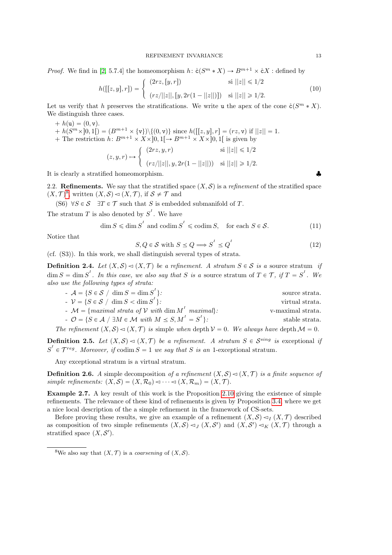*Proof.* We find in [2, 5.7.4] the homeomorphism  $h: \mathcal{E}(S^m * X) \to B^{m+1} \times \mathcal{E}X$  : defined by

$$
h([[z, y], r]) = \begin{cases} (2rz, [y, r]) & \text{si } ||z|| \le 1/2 \\ (rz/||z||, [y, 2r(1 - ||z||)]) & \text{si } ||z|| \ge 1/2. \end{cases}
$$
(10)

Let us verify that h preserves the stratifications. We write u the apex of the cone  $\mathring{c}(S^m * X)$ . We distinguish three cases.

 $+ h(u) = (0, v).$  $+ h(S^m \times ]0,1[) = (B^{m+1} \times {\mathbf{v}})\setminus \{(0, \mathbf{v})\}$  since  $h([[z, y], r] = (rz, \mathbf{v})$  if  $||z|| = 1$ . + The restriction  $h: B^{m+1} \times X \times ]0,1[ \rightarrow B^{m+1} \times X \times ]0,1[$  is given by  $(z, y, r) \mapsto \begin{cases} \end{cases}$  $\int (2rz, y, r)$  si  $||z|| \leq 1/2$ 

$$
(z, y, r) \mapsto \begin{cases} (rz/||z||, y, 2r(1-||z||)) & \text{si } ||z|| \geq 1/2. \end{cases}
$$

It is clearly a stratified homeomorphism.

2.2. Refinements. We say that the stratified space  $(X, \mathcal{S})$  is a *refinement* of the stratified space  $(X, \mathcal{T})^8$ , written  $(X, \mathcal{S}) \lhd (X, \mathcal{T})$ , if  $\mathcal{S} \neq \mathcal{T}$  and

(S6)  $\forall S \in \mathcal{S}$   $\exists T \in \mathcal{T}$  such that S is embedded submanifold of T.

The stratum  $T$  is also denoted by  $S<sup>T</sup>$ . We have

$$
\dim S \leqslant \dim S^I \text{ and } \operatorname{codim} S^I \leqslant \operatorname{codim} S, \quad \text{for each } S \in \mathcal{S}. \tag{11}
$$

Notice that

$$
S, Q \in \mathcal{S} \text{ with } S \le Q \Longrightarrow S^{I} \le Q^{I} \tag{12}
$$

(cf. (S3)). In this work, we shall distinguish several types of strata.

**Definition 2.4.** Let  $(X, \mathcal{S}) \lhd (X, \mathcal{T})$  be a refinement. A stratum  $S \in \mathcal{S}$  is a source stratum if  $\dim S = \dim S<sup>I</sup>$ . In this case, we also say that S is a source stratum of  $T \in \mathcal{T}$ , if  $T = S<sup>I</sup>$ . We also use the following types of strata:

\n- \n
$$
A = \{ S \in \mathcal{S} \mid \dim S = \dim S^I \}:
$$
\n source strata.\n
\n- \n
$$
V = \{ S \in \mathcal{S} \mid \dim S < \dim S^I \}:
$$
\n virtual strata.\n
\n- \n
$$
M = \{ \text{maximal strata of } V \text{ with } \dim M^I \text{ maximal} \}:
$$
\n 
$$
O = \{ S \in \mathcal{A} \mid \exists M \in \mathcal{M} \text{ with } M \leq S, M^I = S^I \}:
$$
\n stable strata.\n
\n- \n
$$
The \text{ refinement } (X, \mathcal{S}) \triangleleft (X, \mathcal{T}) \text{ is simple when depth } \mathcal{V} = 0.
$$
\n We always have depth  $\mathcal{M} = 0.$ \n
\n

**Definition 2.5.** Let  $(X, \mathcal{S}) \lhd (X, \mathcal{T})$  be a refinement. A stratum  $S \in \mathcal{S}^{sing}$  is exceptional if  $S<sup>I</sup> \in \mathcal{T}^{reg}$ . Moreover, if codim  $S = 1$  we say that S is an 1-exceptional stratum.

Any exceptional stratum is a virtual stratum.

**Definition 2.6.** A simple decomposition of a refinement  $(X, \mathcal{S}) \lhd (X, \mathcal{T})$  is a finite sequence of simple refinements:  $(X, S) = (X, \mathcal{R}_0) \triangleleft \cdots \triangleleft (X, \mathcal{R}_m) = (X, \mathcal{T})$ .

Example 2.7. A key result of this work is the Proposition 2.10 giving the existence of simple refinements. The relevance of these kind of refinements is given by Proposition 3.4, where we get a nice local description of the a simple refinement in the framework of CS-sets.

Before proving these results, we give an example of a refinement  $(X, \mathcal{S}) \lhd_I (X, \mathcal{T})$  described as composition of two simple refinements  $(X, S) \lhd_J (X, S')$  and  $(X, S') \lhd_K (X, \mathcal{T})$  through a stratified space  $(X, \mathcal{S}')$ .

<sup>&</sup>lt;sup>8</sup>We also say that  $(X, \mathcal{T})$  is a *coarsening* of  $(X, \mathcal{S})$ .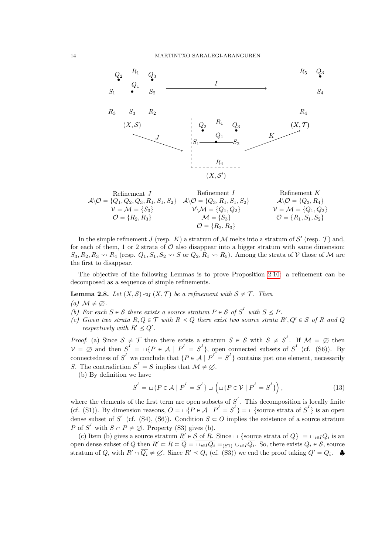

| Refinement $J$                                                       | Refinement $I$                                             | Refinement $K$                                   |
|----------------------------------------------------------------------|------------------------------------------------------------|--------------------------------------------------|
| $\mathcal{A}\setminus\mathcal{O} = \{Q_1, Q_2, Q_3, R_1, S_1, S_2\}$ | $\mathcal{A}\setminus\mathcal{O} = \{Q_3, R_1, S_1, S_2\}$ | $\mathcal{A}\setminus\mathcal{O} = \{Q_3, R_4\}$ |
| $\mathcal{V} = \mathcal{M} = \{S_3\}$                                | $\mathcal{V}\setminus\mathcal{M} = \{Q_1, Q_2\}$           | $\mathcal{V} = \mathcal{M} = \{Q_1, Q_2\}$       |
| $\mathcal{O} = \{R_2, R_3\}$                                         | $\mathcal{O} = \{R_2, R_3\}$                               | $\mathcal{O} = \{R_1, S_1, S_2\}$                |

In the simple refinement J (resp. K) a stratum of M melts into a stratum of S' (resp. T) and, for each of them, 1 or 2 strata of  $\mathcal O$  also disappear into a bigger stratum with same dimension:  $S_3, R_2, R_3 \rightarrow R_4$  (resp.  $Q_1, S_1, S_2 \rightarrow S$  or  $Q_2, R_1 \rightarrow R_5$ ). Among the strata of V those of M are the first to disappear.

The objective of the following Lemmas is to prove Proposition 2.10: a refinement can be decomposed as a sequence of simple refinements.

**Lemma 2.8.** Let  $(X, \mathcal{S}) \triangleleft I(X, \mathcal{T})$  be a refinement with  $\mathcal{S} \neq \mathcal{T}$ . Then

(a)  $\mathcal{M} \neq \emptyset$ .

- (b) For each  $S \in \mathcal{S}$  there exists a source stratum  $P \in \mathcal{S}$  of  $S<sup>T</sup>$  with  $S \leq P$ .
- (c) Given two strata  $R, Q \in \mathcal{T}$  with  $R \leq Q$  there exist two source strata  $R', Q' \in \mathcal{S}$  of R and Q respectively with  $R' \leq Q'$ .

*Proof.* (a) Since  $S \neq \mathcal{T}$  then there exists a stratum  $S \in S$  with  $S \neq S^{\prime}$ . If  $\mathcal{M} = \emptyset$  then  $V = \emptyset$  and then  $S^I = \sqcup \{P \in \mathcal{A} \mid P^I = S^I\}$ , open connected subsets of  $S^I$  (cf. (S6)). By connectedness of  $S<sup>I</sup>$  we conclude that  $\{P \in \mathcal{A} \mid P<sup>I</sup> = S<sup>I</sup>\}$  contains just one element, necessarily S. The contradiction  $S<sup>I</sup> = S$  implies that  $\mathcal{M} \neq \emptyset$ .

(b) By definition we have

$$
S^{I} = \bigcup \{ P \in \mathcal{A} \mid P^{I} = S^{I} \} \cup \left( \bigcup \{ P \in \mathcal{V} \mid P^{I} = S^{I} \} \right),\tag{13}
$$

where the elements of the first term are open subsets of  $S<sup>I</sup>$ . This decomposition is locally finite (cf. (S1)). By dimension reasons,  $O = \sqcup \{P \in \mathcal{A} \mid P^I = S^I\} = \sqcup \{\text{source strata of } S^I\}$  is an open dense subset of  $S^I$  (cf. (S4), (S6)). Condition  $S \subset \overline{O}$  implies the existence of a source stratum P of  $S<sup>T</sup>$  with  $S \cap \overline{P} \neq \emptyset$ . Property (S3) gives (b).

(c) Item (b) gives a source stratum  $R' \in S$  of R. Since  $\sqcup$  {source strata of  $Q$ } =  $\sqcup_{i \in I} Q_i$  is an open dense subset of Q then  $R' \subset R \subset \overline{Q} = \overline{\sqcup_{i\in I}Q_i} = \overline{\sqcup_{i\in I}Q_i} = \overline{\sqcup_{i\in I}Q_i}$ . So, there exists  $Q_i \in \mathcal{S}$ , source stratum of Q, with  $R' \cap \overline{Q_i} \neq \emptyset$ . Since  $R' \leq Q_i$  (cf. (S3)) we end the proof taking  $Q' = Q_i$ .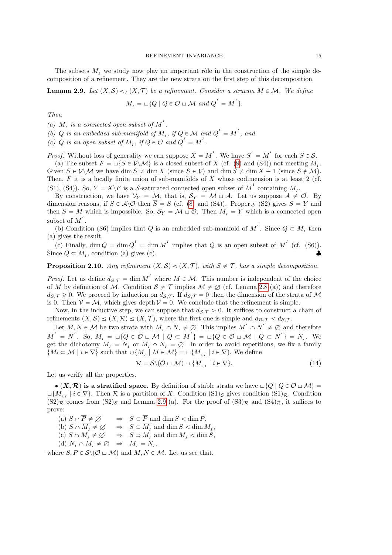The subsets  $M_i$ , we study now play an important rôle in the construction of the simple decomposition of a refinement. They are the new strata on the first step of this decomposition.

**Lemma 2.9.** Let  $(X, \mathcal{S}) \lhd_I (X, \mathcal{T})$  be a refinement. Consider a stratum  $M \in \mathcal{M}$ . We define

$$
M_{I} = \sqcup \{ Q \mid Q \in \mathcal{O} \sqcup \mathcal{M} \text{ and } Q^{I} = M^{I} \}.
$$

Then

(a)  $M_I$  is a connected open subset of  $M^I$ .

(b) Q is an embedded sub-manifold of  $M_I$ , if  $Q \in \mathcal{M}$  and  $Q^I = M^I$ , and

(c) Q is an open subset of  $M_I$ , if  $Q \in \mathcal{O}$  and  $Q^I = M^I$ .

*Proof.* Without loss of generality we can suppose  $X = M^T$ . We have  $S^T = M^T$  for each  $S \in \mathcal{S}$ . (a) The subset  $F = \sqcup \{ S \in V \setminus \mathcal{M} \}$  is a closed subset of X (cf. (8) and (S4)) not meeting  $M<sub>I</sub>$ . Given  $S \in V \backslash \mathcal{M}$  we have dim  $S \neq \dim X$  (since  $S \in V$ ) and dim  $S \neq \dim X - 1$  (since  $S \notin \mathcal{M}$ ). Then,  $F$  it is a locally finite union of sub-manifolds of  $X$  whose codimension is at least 2 (cf. (S1), (S4)). So,  $Y = X \backslash F$  is a S-saturated connected open subset of  $M<sup>T</sup>$  containing  $M<sub>I</sub>$ .

By construction, we have  $V_Y = M$ , that is,  $S_Y = M \sqcup A$ . Let us suppose  $A \neq \emptyset$ . By dimension reasons, if  $S \in \mathcal{A} \setminus \mathcal{O}$  then  $\overline{S} = S$  (cf. (8) and (S4)). Property (S2) gives  $S = Y$  and then  $S = M$  which is impossible. So,  $S_Y = M \cup \mathcal{O}$ . Then  $M_I = Y$  which is a connected open subset of  $M^I$ .

(b) Condition (S6) implies that Q is an embedded sub-manifold of  $M<sup>I</sup>$ . Since  $Q \subset M<sub>I</sub>$  then (a) gives the result.

(c) Finally,  $\dim Q = \dim Q' = \dim M'$  implies that Q is an open subset of  $M'$  (cf. (S6)). Since  $Q \subset M_I$ , condition (a) gives (c).

**Proposition 2.10.** Any refinement  $(X, \mathcal{S}) \triangleleft (X, \mathcal{T})$ , with  $\mathcal{S} \neq \mathcal{T}$ , has a simple decomposition.

*Proof.* Let us define  $d_{\mathcal{S},\mathcal{T}} = \dim M^I$  where  $M \in \mathcal{M}$ . This number is independent of the choice of M by definition of  $\mathcal M$ . Condition  $\mathcal S \neq \mathcal T$  implies  $\mathcal M \neq \emptyset$  (cf. Lemma 2.8 (a)) and therefore  $d_{\mathcal{S},\mathcal{T}} \geq 0$ . We proceed by induction on  $d_{\mathcal{S},\mathcal{T}}$ . If  $d_{\mathcal{S},\mathcal{T}} = 0$  then the dimension of the strata of M is 0. Then  $V = M$ , which gives depth  $V = 0$ . We conclude that the refinement is simple.

Now, in the inductive step, we can suppose that  $d_{\mathcal{S},\mathcal{T}} > 0$ . It suffices to construct a chain of refinements  $(X, S) \le (X, \mathcal{R}) \le (X, \mathcal{T})$ , where the first one is simple and  $d_{\mathcal{R},\mathcal{T}} < d_{\mathcal{S},\mathcal{T}}$ .

Let  $M, N \in \mathcal{M}$  be two strata with  $M_I \cap N_I \neq \emptyset$ . This implies  $M^I \cap N^I \neq \emptyset$  and therefore  $M^I = N^I$ . So,  $M_I = \sqcup \{Q \in \mathcal{O} \sqcup \mathcal{M} \mid Q \subset M^I\} = \sqcup \{Q \in \mathcal{O} \sqcup \mathcal{M} \mid Q \subset N^I\} = N_I$ . We get the dichotomy  $M_I = N_I$  or  $M_I \cap N_I = \emptyset$ . In order to avoid repetitions, we fix a family  $\{M_i \subset \mathcal{M} \mid i \in \nabla\}$  such that  $\cup \{M_i \mid M \in \mathcal{M}\} = \sqcup \{M_{i,I} \mid i \in \nabla\}$ , We define

$$
\mathcal{R} = \mathcal{S} \setminus (\mathcal{O} \sqcup \mathcal{M}) \sqcup \{ M_{i,I} \mid i \in \nabla \}. \tag{14}
$$

Let us verify all the properties.

 $\bullet$  (X, R) is a stratified space. By definition of stable strata we have  $\text{L}\{Q \mid Q \in \mathcal{O} \sqcup \mathcal{M}\} =$  $\Box\{M_{i,j}\mid i\in\nabla\}$ . Then  $\mathcal R$  is a partition of X. Condition  $(S1)_{\mathcal S}$  gives condition  $(S1)_{\mathcal R}$ . Condition  $(S2)_{\mathcal{R}}$  comes from  $(S2)_{\mathcal{S}}$  and Lemma 2.9 (a). For the proof of  $(S3)_{\mathcal{R}}$  and  $(S4)_{\mathcal{R}}$ , it suffices to prove:

(a)  $S \cap \overline{P} \neq \emptyset$   $\Rightarrow$   $S \subset \overline{P}$  and  $\dim S < \dim P$ . (b)  $S \cap M_I \neq \emptyset \Rightarrow S \subset M_I$  and  $\dim S < \dim M_I$ , (c)  $S \cap M_I \neq \emptyset \Rightarrow S \supset M_I$  and  $\dim M_I < \dim S$ , (d)  $N_I \cap M_I \neq \emptyset \Rightarrow M_I = N_I.$ 

where  $S, P \in \mathcal{S} \setminus (\mathcal{O} \sqcup \mathcal{M})$  and  $M, N \in \mathcal{M}$ . Let us see that.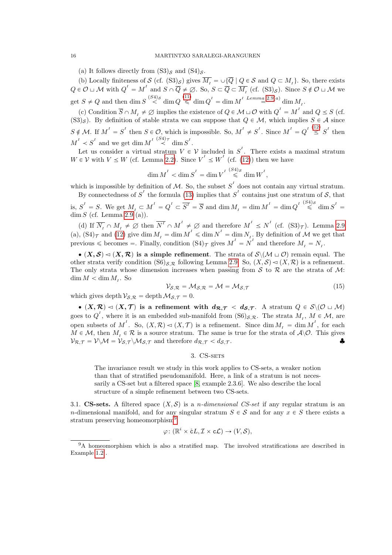(a) It follows directly from  $(S3)_s$  and  $(S4)_s$ .

(b) Locally finiteness of S (cf.  $(S3)_{\mathcal{S}}$ ) gives  $M_I = \cup \{Q \mid Q \in \mathcal{S} \text{ and } Q \subset M_I\}$ . So, there exists  $Q \in \mathcal{O} \sqcup \mathcal{M}$  with  $Q^I = M^I$  and  $S \cap \overline{Q} \neq \emptyset$ . So,  $S \subset \overline{Q} \subset \overline{M_I}$  (cf.  $(S3)_{\mathcal{S}}$ ). Since  $S \notin \mathcal{O} \sqcup \mathcal{M}$  we get  $S \neq Q$  and then dim  $S \stackrel{(S4)S}{\leq} \dim Q \stackrel{(11)}{\leq} \dim Q^I = \dim M^I \stackrel{Lemma 2.9(a)}{=} \dim M_I$ .

(c) Condition  $\overline{S} \cap M_I \neq \emptyset$  implies the existence of  $Q \in \mathcal{M} \cup \mathcal{O}$  with  $Q^I = M^I$  and  $Q \leq S$  (cf.  $(S3)_s$ ). By definition of stable strata we can suppose that  $Q \in \mathcal{M}$ , which implies  $S \in \mathcal{A}$  since  $S \notin \mathcal{M}$ . If  $M' = S'$  then  $S \in \mathcal{O}$ , which is impossible. So,  $M' \neq S'$ . Since  $M' = Q' \stackrel{(12)}{\leq} S'$  then  $M^I \prec S^I$  and we get dim  $M^I \stackrel{(S4)\tau}{\prec} \dim S^I$ .

Let us consider a virtual stratum  $V \in \mathcal{V}$  included in  $S^{\prime}$ . There exists a maximal stratum  $W \in \mathcal{V}$  with  $V \leq W$  (cf. Lemma 2.2). Since  $V' \leq W'$  (cf. (12)) then we have

$$
\dim M^I < \dim S^I = \dim V^I \stackrel{(S4)_S}{\leqslant} \dim W^I,
$$

which is impossible by definition of M. So, the subset  $S<sup>T</sup>$  does not contain any virtual stratum. By connectedness of  $S<sup>T</sup>$  the formula (13) implies that  $S<sup>T</sup>$  contains just one stratum of S, that

is,  $S^I = S$ . We get  $M_I \subset M^I = Q^I \subset \overline{S^I} = \overline{S}$  and  $\dim M_I = \dim M^I = \dim Q^I \stackrel{(S4)_S}{\leq} \dim S^I =$  $\dim S$  (cf. Lemma 2.9 (a)).

(d) If  $\overline{N_I} \cap M_I \neq \emptyset$  then  $\overline{N^I} \cap M^I \neq \emptyset$  and therefore  $M^I \leq N^I$  (cf.  $(S3)_{\mathcal{T}}$ ). Lemma 2.9 (a),  $(S4)_{\mathcal{T}}$  and (12) give dim  $M_I = \dim M' \leq \dim N' = \dim N_I$ . By definition of M we get that previous  $\leq$  becomes  $=$ . Finally, condition  $(S4)_{\mathcal{T}}$  gives  $M^I = N^I$  and therefore  $M_I = N_I$ .

 $\bullet$   $(X, \mathcal{S}) \lhd (X, \mathcal{R})$  is a simple refinement. The strata of  $\mathcal{S}\backslash (\mathcal{M} \sqcup \mathcal{O})$  remain equal. The other strata verify condition  $(S6)_{S,R}$  following Lemma 2.9. So,  $(X, S) \lhd (X, R)$  is a refinement. The only strata whose dimension increases when passing from  $S$  to  $R$  are the strata of  $M$ :  $\dim M < \dim M_I$ . So

$$
\mathcal{V}_{\mathcal{S},\mathcal{R}} = \mathcal{M}_{\mathcal{S},\mathcal{R}} = \mathcal{M} = \mathcal{M}_{\mathcal{S},\mathcal{T}}
$$
\n(15)

which gives depth  $V_{\mathcal{S},\mathcal{R}} = \operatorname{depth} \mathcal{M}_{\mathcal{S},\mathcal{T}} = 0.$ 

 $\bullet$   $(X, \mathcal{R}) \lhd (X, \mathcal{T})$  is a refinement with  $d_{\mathcal{R},\mathcal{T}} < d_{\mathcal{S},\mathcal{T}}$ . A stratum  $Q \in \mathcal{S} \setminus (\mathcal{O} \sqcup \mathcal{M})$ goes to  $Q<sup>I</sup>$ , where it is an embedded sub-manifold from  $(S6)_{S,R}$ . The strata  $M<sub>I</sub>$ ,  $M \in \mathcal{M}$ , are open subsets of M<sup>T</sup>. So,  $(X, \mathcal{R}) \lhd (X, \mathcal{T})$  is a refinement. Since  $\dim M_1 = \dim M^1$ , for each  $M \in \mathcal{M}$ , then  $M_i \in \mathcal{R}$  is a source stratum. The same is true for the strata of  $\mathcal{A}\backslash\mathcal{O}$ . This gives  $V_{\mathcal{R},\mathcal{T}} = V \setminus \mathcal{M} = V_{\mathcal{S},\mathcal{T}} \setminus \mathcal{M}_{\mathcal{S},\mathcal{T}}$  and therefore  $d_{\mathcal{R},\mathcal{T}} < d_{\mathcal{S},\mathcal{T}}$ .

#### 3. CS-SETS

The invariance result we study in this work applies to CS-sets, a weaker notion than that of stratified pseudomanifold. Here, a link of a stratum is not necessarily a CS-set but a filtered space [8, example 2.3.6]. We also describe the local structure of a simple refinement between two CS-sets.

3.1. CS-sets. A filtered space  $(X, S)$  is a *n-dimensional CS-set* if any regular stratum is an n-dimensional manifold, and for any singular stratum  $S \in \mathcal{S}$  and for any  $x \in S$  there exists a stratum preserving homeomorphism<sup>9</sup>

$$
\varphi\colon (\mathbb{R}^i \times \mathring{\text{c}}L, \mathcal{I} \times \mathbf{c}\mathcal{L}) \to (V, \mathcal{S}),
$$

<sup>9</sup>A homeomorphism which is also a stratified map. The involved stratifications are described in Example 1.2 .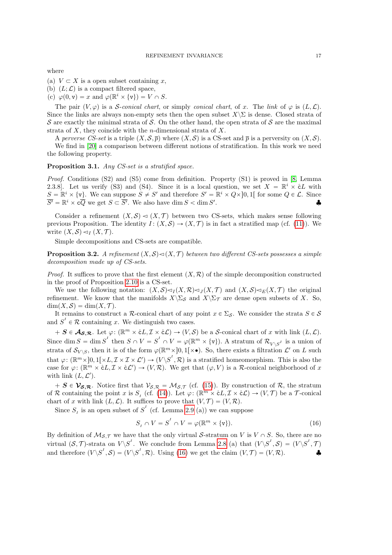where

(a)  $V \subset X$  is a open subset containing x,

(b)  $(L;\mathcal{L})$  is a compact filtered space,

(c)  $\varphi(0, \mathbf{v}) = x$  and  $\varphi(\mathbb{R}^i \times {\{\mathbf{v}\}}) = V \cap S$ .

The pair  $(V, \varphi)$  is a S-conical chart, or simply conical chart, of x. The link of  $\varphi$  is  $(L, \mathcal{L})$ . Since the links are always non-empty sets then the open subset  $X\setminus\Sigma$  is dense. Closed strata of S are exactly the minimal strata of S. On the other hand, the open strata of S are the maximal strata of  $X$ , they coincide with the *n*-dimensional strata of  $X$ .

A perverse CS-set is a triple  $(X, S, \overline{p})$  where  $(X, S)$  is a CS-set and  $\overline{p}$  is a perversity on  $(X, S)$ .

We find in [20] a comparison between different notions of stratification. In this work we need the following property.

#### Proposition 3.1. Any CS-set is a stratified space.

Proof. Conditions (S2) and (S5) come from definition. Property (S1) is proved in [8, Lemma 2.3.8. Let us verify (S3) and (S4). Since it is a local question, we set  $X = \mathbb{R}^i \times cL$  with  $S = \mathbb{R}^i \times \{v\}$ . We can suppose  $S \neq S'$  and therefore  $S' = \mathbb{R}^i \times Q \times ]0,1[$  for some  $Q \in \mathcal{L}$ . Since  $\overline{S'} = \mathbb{R}^i \times \mathbf{c}\overline{Q}$  we get  $S \subset \overline{S'}$ . We also have  $\dim S < \dim S'$  $\bullet$   $\bullet$ 

Consider a refinement  $(X, \mathcal{S}) \lhd (X, \mathcal{T})$  between two CS-sets, which makes sense following previous Proposition. The identity  $I: (X, S) \to (X, \mathcal{T})$  is in fact a stratified map (cf. (11)). We write  $(X, \mathcal{S}) \lhd_I (X, \mathcal{T})$ .

Simple decompositions and CS-sets are compatible.

**Proposition 3.2.** A refinement  $(X, \mathcal{S}) \triangleleft (X, \mathcal{T})$  between two different CS-sets possesses a simple decomposition made up of CS-sets.

*Proof.* It suffices to prove that the first element  $(X, \mathcal{R})$  of the simple decomposition constructed in the proof of Proposition 2.10 is a CS-set.

We use the following notation:  $(X, S) \lhd_I (X, \mathcal{R}) \lhd_I (X, \mathcal{T})$  and  $(X, S) \lhd_E (X, \mathcal{T})$  the original refinement. We know that the manifolds  $X\setminus\Sigma<sub>S</sub>$  and  $X\setminus\Sigma<sub>T</sub>$  are dense open subsets of X. So,  $\dim(X, \mathcal{S}) = \dim(X, \mathcal{T}).$ 

It remains to construct a R-conical chart of any point  $x \in \Sigma_S$ . We consider the strata  $S \in \mathcal{S}$ and  $S<sup>T</sup> \in \mathcal{R}$  containing x. We distinguish two cases.

 $+ S \in \mathcal{A}_{\mathcal{S},\mathcal{R}}$ . Let  $\varphi: (\mathbb{R}^m \times \mathcal{E}_L, \mathcal{I} \times \mathcal{E}_L) \to (V,\mathcal{S})$  be a S-conical chart of x with link  $(L,\mathcal{L})$ . Since  $\dim S = \dim S'$  then  $S \cap V = S' \cap V = \varphi(\mathbb{R}^m \times {\{\mathbf{v}\}})$ . A stratum of  $\mathcal{R}_{V \setminus S'}$  is a union of strata of  $\mathcal{S}_{V \setminus S}$ , then it is of the form  $\varphi(\mathbb{R}^m \times ]0,1[\times \bullet)$ . So, there exists a filtration  $\mathcal{L}'$  on L such that  $\varphi \colon (\mathbb{R}^m \times ]0,1[\times L, \mathcal{I} \times \mathcal{I} \times \mathcal{L}') \to (V \backslash S^I, \mathcal{R})$  is a stratified homeomorphism. This is also the case for  $\varphi \colon (\mathbb{R}^m \times \mathcal{E}L, \mathcal{I} \times \mathcal{E}L') \to (V, \mathcal{R})$ . We get that  $(\varphi, V)$  is a R-conical neighborhood of x with link  $(L, \mathcal{L}^{\prime}).$ 

 $+ S \in \mathcal{V}_{\mathcal{S},\mathcal{R}}$ . Notice first that  $V_{\mathcal{S},\mathcal{R}} = \mathcal{M}_{\mathcal{S},\mathcal{T}}$  (cf. (15)). By construction of  $\mathcal{R}$ , the stratum of R containing the point x is  $S_I$  (cf. (14)). Let  $\varphi: (\mathbb{R}^m \times \mathcal{E}L, \mathcal{I} \times \mathcal{E}L) \to (V, \mathcal{T})$  be a T-conical chart of x with link  $(L, \mathcal{L})$ . It suffices to prove that  $(V, \mathcal{T}) = (V, \mathcal{R})$ .

Since  $S_I$  is an open subset of  $S<sup>I</sup>$  (cf. Lemma 2.9 (a)) we can suppose

$$
S_I \cap V = S^I \cap V = \varphi(\mathbb{R}^m \times \{v\}).\tag{16}
$$

By definition of  $M_{S,T}$  we have that the only virtual S-stratum on V is  $V \cap S$ . So, there are no virtual  $(S, \mathcal{T})$ -strata on  $V \backslash S^I$ . We conclude from Lemma 2.8 (a) that  $(V \backslash S^I, \mathcal{S}) = (V \backslash S^I, \mathcal{T})$ and therefore  $(V \backslash S^I, \mathcal{S}) = (V \backslash S^I, \mathcal{R})$ . Using (16) we get the claim  $(V, \mathcal{T}) = (V, \mathcal{R})$ .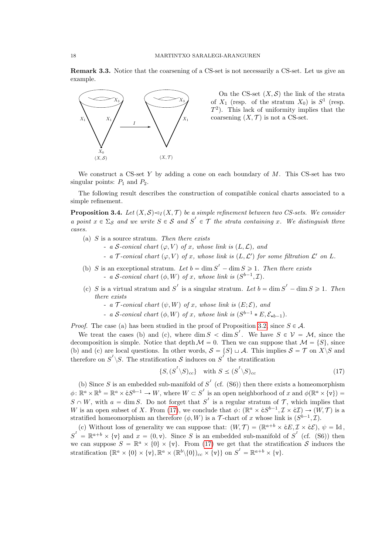Remark 3.3. Notice that the coarsening of a CS-set is not necessarily a CS-set. Let us give an example.



On the CS-set  $(X, \mathcal{S})$  the link of the strata of  $X_1$  (resp. of the stratum  $X_0$ ) is  $S^1$  (resp.  $T^2$ ). This lack of uniformity implies that the coarsening  $(X, \mathcal{T})$  is not a CS-set.

We construct a CS-set Y by adding a cone on each boundary of  $M$ . This CS-set has two singular points:  $P_1$  and  $P_2$ .

The following result describes the construction of compatible conical charts associated to a simple refinement.

**Proposition 3.4.** Let  $(X, \mathcal{S}) \triangleleft I(X, \mathcal{T})$  be a simple refinement between two CS-sets. We consider a point  $x \in \Sigma_S$  and we write  $S \in S$  and  $S' \in \mathcal{T}$  the strata containing x. We distinguish three cases.

- (a)  $S$  is a source stratum. Then there exists
	- a S-conical chart  $(\varphi, V)$  of x, whose link is  $(L, \mathcal{L})$ , and
	- a  $\mathcal T$ -conical chart  $(\varphi, V)$  of x, whose link is  $(L, \mathcal L')$  for some filtration  $\mathcal L'$  on  $L$ .
- (b) S is an exceptional stratum. Let  $b = \dim S^1 \dim S \ge 1$ . Then there exists - a S-conical chart  $(\phi, W)$  of x, whose link is  $(S^{b-1}, \mathcal{I})$ .
- (c) S is a virtual stratum and S<sup>I</sup> is a singular stratum. Let  $b = \dim S^1 \dim S \ge 1$ . Then there exists
	- a T-conical chart  $(\psi, W)$  of x, whose link is  $(E; \mathcal{E})$ , and
	- a S-conical chart  $(\phi, W)$  of x, whose link is  $(S^{b-1} * E, \mathcal{E}_{\star b-1})$ .

*Proof.* The case (a) has been studied in the proof of Proposition 3.2, since  $S \in \mathcal{A}$ .

We treat the cases (b) and (c), where  $\dim S < \dim S'$ . We have  $S \in \mathcal{V} = \mathcal{M}$ , since the decomposition is simple. Notice that depth  $M = 0$ . Then we can suppose that  $M = \{S\}$ , since (b) and (c) are local questions. In other words,  $S = \{S\} \sqcup A$ . This implies  $S = \mathcal{T}$  on  $X \setminus S$  and therefore on  $S^I \setminus S$ . The stratification S induces on  $S^I$  the stratification

$$
\{S, (S^I \setminus S)_{cc}\} \quad \text{with } S \le (S^I \setminus S)_{cc} \tag{17}
$$

(b) Since S is an embedded sub-manifold of  $S<sup>T</sup>$  (cf. (S6)) then there exists a homeomorphism  $\phi \colon \mathbb{R}^a \times \mathbb{R}^b = \mathbb{R}^a \times \mathring{\mathsf{c}} S^{b-1} \to W$ , where  $W \subset S^I$  is an open neighborhood of x and  $\phi(\mathbb{R}^a \times {\mathsf{v}}) =$  $S \cap W$ , with  $a = \dim S$ . Do not forget that  $S<sup>T</sup>$  is a regular stratum of  $T$ , which implies that W is an open subset of X. From (17), we conclude that  $\phi \colon (\mathbb{R}^a \times \mathring{c}S^{b-1}, \mathcal{I} \times \mathring{c}\mathcal{I}) \to (W, \mathcal{T})$  is a stratified homeomorphism an therefore  $(\phi, W)$  is a T-chart of x whose link is  $(S^{b-1}, \mathcal{I})$ .

(c) Without loss of generality we can suppose that:  $(W, \mathcal{T}) = (\mathbb{R}^{a+b} \times \mathring{c}E, \mathcal{I} \times \mathring{c}\mathcal{E}), \psi = \mathrm{Id},$  $S^I = \mathbb{R}^{a+b} \times \{v\}$  and  $x = (0, v)$ . Since S is an embedded sub-manifold of  $S^I$  (cf. (S6)) then we can suppose  $S = \mathbb{R}^a \times \{0\} \times \{v\}$ . From (17) we get that the stratification S induces the stratification  $\{\mathbb{R}^a \times \{0\} \times \{\mathbf{v}\}, \mathbb{R}^a \times (\mathbb{R}^b \setminus \{0\})_{cc} \times \{\mathbf{v}\}\}$  on  $S^I = \mathbb{R}^{a+b} \times \{\mathbf{v}\}.$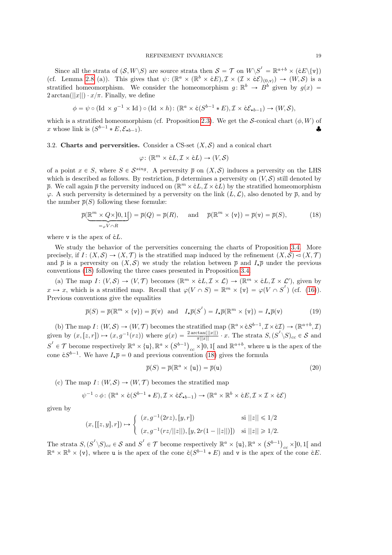Since all the strata of  $(S, W \setminus S)$  are source strata then  $S = \mathcal{T}$  on  $W \setminus S^I = \mathbb{R}^{a+b} \times (\mathcal{E} \mathcal{E} \setminus \{v\})$ (cf. Lemma 2.8 (a)). This gives that  $\psi: (\mathbb{R}^a \times (\mathbb{R}^b \times \mathring{c}E), \mathcal{I} \times (\mathcal{I} \times \mathring{c}\mathcal{E})_{(0,\nu)}) \to (W, \mathcal{S})$  is a stratified homeomorphism. We consider the homeomorphism  $g: \mathbb{R}^b \to \dot{B}^b$  given by  $g(x) =$  $2 \arctan(||x||) \cdot x/\pi$ . Finally, we define

$$
\phi = \psi \circ (\text{Id} \times g^{-1} \times \text{Id}) \circ (\text{Id} \times h) : (\mathbb{R}^a \times \mathring{\text{c}}(S^{b-1} * E), \mathcal{I} \times \mathring{\text{c}}\mathcal{E}_{\star b-1}) \to (W, \mathcal{S}),
$$

which is a stratified homeomorphism (cf. Proposition 2.3). We get the S-conical chart  $(\phi, W)$  of x whose link is  $(S^{b-1} * E, \mathcal{E}_{\star b-1})$ .

#### 3.2. Charts and perversities. Consider a CS-set  $(X, \mathcal{S})$  and a conical chart

$$
\varphi \colon (\mathbb{R}^m \times \mathring{\text{c}}L, \mathcal{I} \times \mathring{\text{c}}L) \to (V, \mathcal{S})
$$

of a point  $x \in S$ , where  $S \in \mathcal{S}^{sing}$ . A perversity  $\bar{p}$  on  $(X, \mathcal{S})$  induces a perversity on the LHS which is described as follows. By restriction,  $\bar{p}$  determines a perversity on  $(V, S)$  still denoted by  $\bar{p}$ . We call again  $\bar{p}$  the perversity induced on  $(\mathbb{R}^m \times \mathcal{E}L, \mathcal{I} \times \mathcal{E}L)$  by the stratified homeomorphism  $\varphi$ . A such perversity is determined by a perversity on the link  $(L,\mathcal{L})$ , also denoted by  $\bar{p}$ , and by the number  $\overline{p}(S)$  following these formulæ:

$$
\overline{p}(\underbrace{\mathbb{R}^m \times Q \times ]0,1[}_{= \varphi V \cap R}) = \overline{p}(Q) = \overline{p}(R), \quad \text{and} \quad \overline{p}(\mathbb{R}^m \times \{v\}) = \overline{p}(v) = \overline{p}(S), \tag{18}
$$

where v is the apex of  $\mathring{\text{c}}L$ .

We study the behavior of the perversities concerning the charts of Proposition 3.4. More precisely, if  $I: (X, S) \to (X, \mathcal{T})$  is the stratified map induced by the refinement  $(X, S) \lhd (X, \mathcal{T})$ and  $\bar{p}$  is a perversity on  $(X, \mathcal{S})$  we study the relation between  $\bar{p}$  and  $I_{\star} \bar{p}$  under the previous conventions (18) following the three cases presented in Proposition 3.4.

(a) The map  $I: (V, S) \to (V, \mathcal{T})$  becomes  $(\mathbb{R}^m \times \mathcal{E}L, \mathcal{I} \times \mathcal{L}) \to (\mathbb{R}^m \times \mathcal{E}L, \mathcal{I} \times \mathcal{L}')$ , given by  $x \mapsto x$ , which is a stratified map. Recall that  $\varphi(V \cap S) = \mathbb{R}^m \times {\{\mathbf{v}\}} = \varphi(V \cap S^I)$  (cf. (16)). Previous conventions give the equalities

$$
\overline{p}(S) = \overline{p}(\mathbb{R}^m \times \{v\}) = \overline{p}(v) \text{ and } I_{\star}\overline{p}(S^I) = I_{\star}\overline{p}(\mathbb{R}^m \times \{v\}) = I_{\star}\overline{p}(v) \tag{19}
$$

(b) The map  $I: (W, \mathcal{S}) \to (W, \mathcal{T})$  becomes the stratified map  $(\mathbb{R}^a \times \mathring{\text{c}} S^{b-1}, \mathcal{I} \times \mathring{\text{c}} \mathcal{I}) \to (\mathbb{R}^{a+b}, \mathcal{I})$ given by  $(x,[z,r]) \mapsto (x,g^{-1}(rz))$  where  $g(x) = \frac{2 \arctan(||x||)}{\pi ||x||} \cdot x$ . The strata  $S,(S^1 \backslash S)_{cc} \in S$  and  $S^I \in \mathcal{T}$  become respectively  $\mathbb{R}^a \times {\{\mathbf{u}\}, \mathbb{R}^a \times (S^{b-1})_{cc} \times} 0, 1$  and  $\mathbb{R}^{a+b}$ , where u is the apex of the cone  $\mathring{\mathsf{c}} S^{b-1}$ . We have  $I_{\star} \overline{p} = 0$  and previous convention (18) gives the formula

$$
\overline{p}(S) = \overline{p}(\mathbb{R}^a \times \{\mathbf{u}\}) = \overline{p}(\mathbf{u})
$$
\n(20)

(c) The map  $I: (W, S) \to (W, \mathcal{T})$  becomes the stratified map

$$
\psi^{-1} \circ \phi \colon (\mathbb{R}^a \times \mathring{\mathsf{c}}(S^{b-1} * E), \mathcal{I} \times \mathring{\mathsf{c}} \mathcal{E}_{\star b-1}) \to (\mathbb{R}^a \times \mathbb{R}^b \times \mathring{\mathsf{c}} E, \mathcal{I} \times \mathcal{I} \times \mathring{\mathsf{c}} \mathcal{E})
$$

given by

$$
(x, [[z, y], r]) \mapsto \begin{cases} (x, g^{-1}(2rz), [y, r]) & \text{si } ||z|| \leq 1/2 \\ (x, g^{-1}(rz/||z||), [y, 2r(1 - ||z||)]) & \text{si } ||z|| \geq 1/2. \end{cases}
$$

The strata  $S, (S^I \backslash S)_{cc} \in S$  and  $S^I \in \mathcal{T}$  become respectively  $\mathbb{R}^a \times {\{\mathbf{u}\}, \mathbb{R}^a \times \{\mathbf{u}\}}$  $(S^{b-1})$  $_{cc}$  × ]0, 1[ and  $\mathbb{R}^a \times \mathbb{R}^b \times \{v\}$ , where **u** is the apex of the cone  $\mathring{c}(S^{b-1} * E)$  and **v** is the apex of the cone  $\mathring{c}E$ .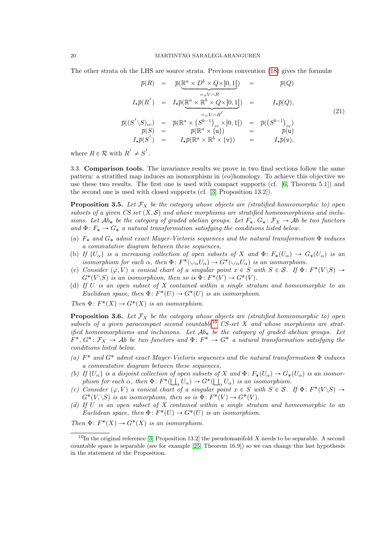The other strata oh the LHS are source strata. Previous convention (18) gives the formulæ

$$
\overline{p}(R) = \overline{p}(\underline{\mathbb{R}}^{a} \times D^{b} \times Q \times ]0,1[) = \overline{p}(Q)
$$
  
\n
$$
I_{\star}\overline{p}(R^{I}) = I_{\star}\overline{p}(\underline{\mathbb{R}}^{a} \times \underline{\mathbb{R}}^{b} \times Q \times ]0,1[) = I_{\star}\overline{p}(Q),
$$
  
\n
$$
\overline{p}((S^{I} \setminus S)_{cc}) = \overline{p}(\underline{\mathbb{R}}^{a} \times (S^{b-1})_{cc} \times ]0,1[) = \overline{p}((S^{b-1})_{cc})
$$
  
\n
$$
\overline{p}(S) = \overline{p}(\mathbb{R}^{a} \times \{u\}) = \overline{p}(S^{b-1})_{cc}
$$
  
\n
$$
I_{\star}\overline{p}(S^{I}) = I_{\star}\overline{p}(\mathbb{R}^{a} \times \mathbb{R}^{b} \times \{v\}) = I_{\star}\overline{p}(v),
$$
\n(21)

where  $R \in \mathcal{R}$  with  $R^I \neq S^I$ .

3.3. Comparison tools. The invariance results we prove in two final sections follow the same pattern: a stratified map induces an isomorphism in (co)homology. To achieve this objective we use these two results. The first one is used with compact supports (cf. [6, Theorem 5.1]) and the second one is used with closed supports (cf. [3, Proposition 13.2]).

**Proposition 3.5.** Let  $\mathcal{F}_X$  be the category whose objects are (stratified homeomorphic to) open subsets of a given CS set  $(X, S)$  and whose morphisms are stratified homeomorphisms and inclusions. Let  $Ab_*$  be the category of graded abelian groups. Let  $F_*, G_* : \mathcal{F}_X \to Ab$  be two functors and  $\Phi: F_* \to G_*$  a natural transformation satisfying the conditions listed below.

- (a)  $F_*$  and  $G_*$  admit exact Mayer-Vietoris sequences and the natural transformation  $\Phi$  induces a commutative diagram between these sequences,
- (b) If  $\{U_\alpha\}$  is a increasing collection of open subsets of X and  $\Phi: F_*(U_\alpha) \to G_*(U_\alpha)$  is an isomorphism for each  $\alpha$ , then  $\Phi: F^*(\cup_{\alpha} U_{\alpha}) \to G^*(\cup_{\alpha} U_{\alpha})$  is an isomorphism.
- (c) Consider  $(\varphi, V)$  a conical chart of a singular point  $x \in S$  with  $S \in S$ . If  $\Phi \colon F^*(V \setminus S) \to$  $G^*(V \backslash S)$  is an isomorphism, then so is  $\Phi \colon F^*(V) \to G^*(V)$ .
- (d) If U is an open subset of X contained within a single stratum and homeomorphic to an Euclidean space, then  $\Phi\colon F^*(U) \to G^*(U)$  is an isomorphism.

Then  $\Phi: F^*(X) \to G^*(X)$  is an isomorphism.

**Proposition 3.6.** Let  $\mathcal{F}_X$  be the category whose objects are (stratified homeomorphic to) open subsets of a given paracompact second countable<sup>10</sup> CS-set X and whose morphisms are stratified homeomorphisms and inclusions. Let  $Ab_*$  be the category of graded abelian groups. Let  $F^*, G^*: \mathcal{F}_X \to \mathcal{A}b$  be two functors and  $\Phi: F^* \to G^*$  a natural transformation satisfying the conditions listed below.

- (a)  $F^*$  and  $G^*$  admit exact Mayer-Vietoris sequences and the natural transformation  $\Phi$  induces a commutative diagram between these sequences,
- (b) If  $\{U_\alpha\}$  is a disjoint collection of open subsets of X and  $\Phi\colon F_*(U_\alpha) \to G_*(U_\alpha)$  is an isomorphism for each  $\alpha$ , then  $\Phi: F^*(\bigsqcup_{\alpha} U_{\alpha}) \to G^*(\bigsqcup_{\alpha} U_{\alpha})$  is an isomorphism.
- (c) Consider  $(\varphi, V)$  a conical chart of a singular point  $x \in S$  with  $S \in S$ . If  $\Phi \colon F^*(V \setminus S) \to$  $G^*(V, \backslash S)$  is an isomorphism, then so is  $\Phi: F^*(V) \to G^*(V)$ .
- (d) If  $U$  is an open subset of  $X$  contained within a single stratum and homeomorphic to an Euclidean space, then  $\Phi \colon F^*(U) \to G^*(U)$  is an isomorphism.

Then  $\Phi: F^*(X) \to G^*(X)$  is an isomorphism.

 $10$ In the original reference [3, Proposition 13.2] the pseudomanifold X needs to be separable. A second countable space is separable (see for example [25, Theorem 16.9]) so we can change this last hypothesis in the statement of the Proposition.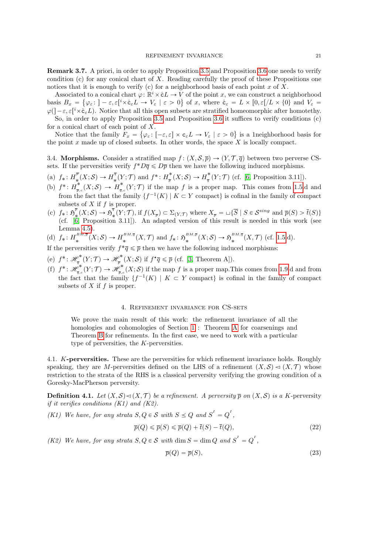Remark 3.7. A priori, in order to apply Proposition 3.5 and Proposition 3.6 one needs to verify condition (c) for any conical chart of X. Reading carefully the proof of these Propositions one notices that it is enough to verify (c) for a neighborhood basis of each point x of X.

Associated to a conical chart  $\varphi: \mathbb{R}^i \times \mathcal{L} \to V$  of the point x, we can construct a neighborhood basis  $B_x = \{\varphi_\varepsilon: -\varepsilon, \varepsilon[^i \times \mathring{\mathbf{c}}_{\varepsilon} L \to V_\varepsilon \mid \varepsilon > 0\}$  of x, where  $\mathring{\mathbf{c}}_{\varepsilon} = L \times [0, \varepsilon]/L \times \{0\}$  and  $V_\varepsilon =$  $\varphi(j-\varepsilon,\varepsilon[^i \times \mathring{\mathtt{c}}_{\varepsilon} L)$ . Notice that all this open subsets are stratified homeomorphic after homotethy.

So, in order to apply Proposition 3.5 and Proposition 3.6 it suffices to verify conditions (c) for a conical chart of each point of  $X$ .

Notice that the family  $F_x = \{ \varphi_\varepsilon : [-\varepsilon, \varepsilon] \times \mathsf{c}_{\varepsilon} L \to V_\varepsilon \mid \varepsilon > 0 \}$  is a 1neighborhood basis for the point  $x$  made up of closed subsets. In other words, the space  $X$  is locally compact.

3.4. Morphisms. Consider a stratified map  $f : (X, \mathcal{S}, \overline{p}) \to (Y, \mathcal{T}, \overline{q})$  between two perverse CSsets. If the perversities verify  $f^*D\overline{q} \leq D\overline{p}$  then we have the following induced morphisms.

- (a)  $f_*: H_*^{\overline{p}}$  $\frac{p}{*}(X; S) \to H_*^{\overline{q}}$  $\frac{d^{\overline{q}}}{d^*}(Y; \mathcal{T})$  and  $f^*: H^*_{\overline{p}}$  $\frac{1}{p}^*(X; S) \to H_{\overline{q}}^*$  $\frac{1}{\overline{q}}(Y;\mathcal{T})$  (cf. [6, Proposition 3.11]).
- (b)  $f^*: H^*_{\overline{p}}$  $\frac{1}{\overline{p},c}(X;\mathcal{S}) \,\to\, H_{\overline{q},c}^*$  $\int_{\overline{q},c}^{\infty}(Y;\mathcal{T})$  if the map f is a proper map. This comes from 1.5.d and from the fact that the family  $\{f^{-1}(K) \mid K \subset Y \text{ compact}\}$  is cofinal in the family of compact subsets of  $X$  if  $f$  is proper.
- (c)  $f_*: \mathfrak{H}^{\overline{p}}_*$  $\frac{\overline{p}}{\ast}(X;\mathcal{S})\rightarrow \mathfrak{H}^{\overline{q}}_{\ast}$  $\mathcal{F}_{*}^{q}(Y; \mathcal{T})$ , if  $f(X_{\overline{p}}) \subset \Sigma_{(Y, \mathcal{T})}$  where  $X_{\overline{p}} = \sqcup \{\overline{S} \mid S \in \mathcal{S}^{sing}$  and  $\overline{p}(S) > \overline{t}(S)\}$ (cf. [6, Proposition 3.11]). An adapted version of this result is needed in this work (see Lemma 4.5).

(d) 
$$
f_*: H_*^{BM,\overline{p}}(X;\mathcal{S}) \to H_*^{BM,\overline{q}}(X,\mathcal{T})
$$
 and  $f_*: \mathfrak{H}^{BM,\overline{p}}_*(X;\mathcal{S}) \to \mathfrak{H}^{BM,\overline{q}}_*(X,\mathcal{T})$  (cf. 1.5.d).

If the perversities verify  $f^*\overline{q} \leq \overline{p}$  then we have the following induced morphisms:

- (e)  $f^*: \mathcal{H}^*_{\overline{g}}$  $\frac{\varphi^*}{\overline{q}}(Y; \mathcal{T}) \to \mathscr{H}_{\overline{p}}^*$  $\mathbb{P}^*_{\overline{p}}(X;\mathcal{S})$  if  $f^{\star}\overline{q} \leq \overline{p}$  (cf. [3, Theorem A]).
- (f)  $f^*: \mathscr{H}_{\overline{a}}^*$  $\mathscr{P}_{\overline{q},c}^{*}\!\left(Y;\mathcal{T}\right)\rightarrow\mathscr{H}_{\overline{p},c}^{*}$  $^{\sigma^*}_{\overline{p},c}(X;\mathcal{S})$  if the map f is a proper map. This comes from 1.9.d and from the fact that the family  $\{f^{-1}(K) \mid K \subset Y \text{ compact}\}\$ is cofinal in the family of compact subsets of  $X$  if  $f$  is proper.

#### 4. Refinement invariance for CS-sets

We prove the main result of this work: the refinement invariance of all the homologies and cohomologies of Section 1 : Theorem A for coarsenings and Theorem B for refinements. In the first case, we need to work with a particular type of perversities, the K-perversities.

4.1. K-perversities. These are the perversities for which refinement invariance holds. Roughly speaking, they are M-perversities defined on the LHS of a refinement  $(X, \mathcal{S}) \lhd (X, \mathcal{T})$  whose restriction to the strata of the RHS is a classical perversity verifying the growing condition of a Goresky-MacPherson perversity.

**Definition 4.1.** Let  $(X, \mathcal{S}) \triangleleft (X, \mathcal{T})$  be a refinement. A perversity p on  $(X, \mathcal{S})$  is a K-perversity if it verifies conditions  $(K1)$  and  $(K2)$ .

(K1) We have, for any strata  $S, Q \in S$  with  $S \leq Q$  and  $S' = Q'$ ,

$$
\overline{p}(Q) \le \overline{p}(S) \le \overline{p}(Q) + \overline{t}(S) - \overline{t}(Q),\tag{22}
$$

(K2) We have, for any strata  $S, Q \in S$  with dim  $S = \dim Q$  and  $S' = Q'$ ,

$$
\overline{p}(Q) = \overline{p}(S),\tag{23}
$$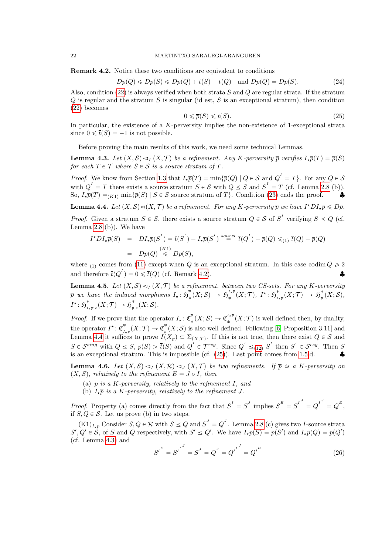Remark 4.2. Notice these two conditions are equivalent to conditions

$$
D\overline{p}(Q) \le D\overline{p}(S) \le D\overline{p}(Q) + \overline{t}(S) - \overline{t}(Q) \quad \text{and } D\overline{p}(Q) = D\overline{p}(S). \tag{24}
$$

Also, condition (22) is always verified when both strata  $S$  and  $Q$  are regular strata. If the stratum  $Q$  is regular and the stratum  $S$  is singular (id est,  $S$  is an exceptional stratum), then condition (22) becomes

$$
0 \leq \overline{p}(S) \leq \overline{t}(S). \tag{25}
$$

In particular, the existence of a K-perversity implies the non-existence of 1-exceptional strata since  $0 \le \bar{t}(S) = -1$  is not possible.

Before proving the main results of this work, we need some technical Lemmas.

**Lemma 4.3.** Let  $(X, \mathcal{S}) \lhd_I (X, \mathcal{T})$  be a refinement. Any K-perversity  $\bar{p}$  verifies  $I_*\bar{p}(T) = \bar{p}(S)$ for each  $T \in \mathcal{T}$  where  $S \in \mathcal{S}$  is a source stratum of  $T$ .

*Proof.* We know from Section 1.3 that  $I_{\star} \overline{p}(T) = \min \{ \overline{p}(Q) \mid Q \in \mathcal{S} \text{ and } Q^{\perp} = T \}$ . For any  $Q \in \mathcal{S}$ with  $Q^I = T$  there exists a source stratum  $S \in \mathcal{S}$  with  $Q \leq S$  and  $S^I = T$  (cf. Lemma 2.8 (b)). So,  $I_{\star}\overline{p}(T) = K_{K1} \min\{\overline{p}(S) | S \in \mathcal{S} \text{ source stratum of } T\}.$  Condition (23) ends the proof.

**Lemma 4.4.** Let  $(X, \mathcal{S}) \lhd (X, \mathcal{T})$  be a refinement. For any K-perversity  $\overline{p}$  we have  $I^{\star}DI_{\star}\overline{p} \leq D\overline{p}$ .

*Proof.* Given a stratum  $S \in \mathcal{S}$ , there exists a source stratum  $Q \in \mathcal{S}$  of  $S'$  verifying  $S \leq Q$  (cf. Lemma  $2.8$  (b)). We have

$$
I^{\star}DI_{\star}\overline{p}(S) = DI_{\star}\overline{p}(S^{I}) = \overline{t}(S^{I}) - I_{\star}\overline{p}(S^{I})^{source} \overline{t}(Q^{I}) - \overline{p}(Q) \leq_{(1)} \overline{t}(Q) - \overline{p}(Q)
$$
  
=  $D\overline{p}(Q) \stackrel{(K1)}{\leq} D\overline{p}(S),$ 

where <sub>(1)</sub> comes from (11) except when Q is an exceptional stratum. In this case codim  $Q \ge 2$ and therefore  $\bar{t}(Q^I) = 0 \leq \bar{t}(Q)$  (cf. Remark 4.2).

**Lemma 4.5.** Let  $(X, \mathcal{S}) \triangleleft I(X, \mathcal{T})$  be a refinement. between two CS-sets. For any K-perversity  $\overline{p}$  we have the induced morphisms  $I_{\star}$ :  $\mathfrak{H}^{\overline{p}}_{\ast}$  $\frac{\overline{p}}{*}(X;\mathcal{S}) \rightarrow \mathfrak{H}^{^{\scriptscriptstyle I\star\overline{p}}}_{*}$  $\frac{I\star \overline{p}}{\ast}(X;\mathcal{T}),\,\,I^{\star}\colon \mathfrak{H}^{\ast}_{I,\,1}$  $\frac{\ast}{I_{\star \overline{p}}}(X; \mathcal{T}) \to \mathfrak{H}^{\ast}_{\overline{p}}$  $\frac{\scriptscriptstyle \bullet}{\scriptscriptstyle p}(X;\mathcal S),$  $I^{\star}$ :  $\mathfrak{H}^{\ast}_{I}$  $\frac{\ast}{I_{\star\overline{p},c}}(X; {\cal T}) \rightarrow \mathfrak{H}^{\ast}_{\overline{p},c}$  $\frac{\raisebox{1ex}{\scriptsize{*}}}{\hbar_{p,c}}(X;\mathcal{S}).$ 

*Proof.* If we prove that the operator  $I_{\star}: \mathfrak{C}_{\star}^{\overline{p}}$  $\frac{\overline{p}}{*}(X;\mathcal{S})\to \mathfrak{C}_*^{^{I\star\overline{p}}}$  $\mathcal{L}^{I*}_{*}(X;\mathcal{T})$  is well defined then, by duality, the operator  $I^*$ :  $\mathfrak{C}_i^*$  $\underset{I\star\overline{p}}{\ast}(X;\mathcal{T})\to \mathfrak{C}_{\overline{p}}^*$  $p^{\ast}_{\overline{p}}(X;\mathcal{S})$  is also well defined. Following [6, Proposition 3.11] and Lemma 4.4 it suffices to prove  $I(X_{\overline{p}}) \subset \Sigma_{(X,\mathcal{T})}$ . If this is not true, then there exist  $Q \in \mathcal{S}$  and  $S \in \mathcal{S}^{sing}$  with  $Q \leq S$ ,  $\overline{p}(S) > \overline{t}(S)$  and  $Q^I \in \mathcal{T}^{reg}$ . Since  $Q^I \leq_{(12)} S^I$  then  $S^I \in \mathcal{S}^{reg}$ . Then S is an exceptional stratum. This is impossible (cf.  $(25)$ ). Last point comes from 1.5.d.

**Lemma 4.6.** Let  $(X, \mathcal{S}) \lhd_I (X, \mathcal{R}) \lhd_J (X, \mathcal{T})$  be two refinements. If  $\overline{p}$  is a K-perversity on  $(X, S)$ , relatively to the refinement  $E = J \circ I$ , then

- (a)  $\bar{p}$  is a K-perversity, relatively to the refinement I, and
- (b)  $I_{\star} \overline{p}$  is a K-perversity, relatively to the refinement J.

*Proof.* Property (a) comes directly from the fact that  $S^I = S^J$  implies  $S^E = S^{I^J} = Q^{I^J} = Q^E$ , if  $S, Q \in \mathcal{S}$ . Let us prove (b) in two steps.

 $(K1)_{I_{\star}\overline{p}}$  Consider  $S, Q \in \mathcal{R}$  with  $S \leq Q$  and  $S' = Q'$ . Lemma 2.8 (c) gives two *I*-source strata  $S', Q' \in \mathcal{S}$ , of S and Q respectively, with  $S' \leq Q'$ . We have  $I_{\star} \overline{p}(S) = \overline{p}(S')$  and  $I_{\star} \overline{p}(Q) = \overline{p}(Q')$ (cf. Lemma 4.3) and

$$
S'^{E} = S'^{I} = S^{J} = Q^{J} = Q'^{I} = Q'^{E}
$$
 (26)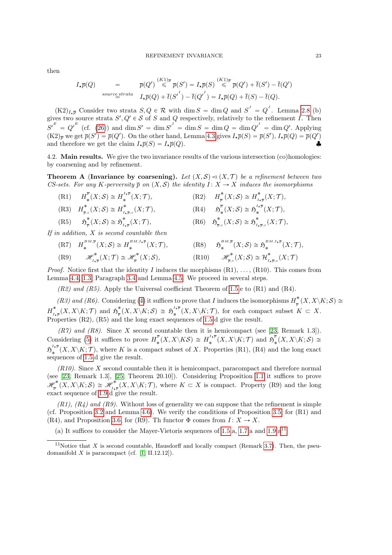then

$$
I_{\star}\overline{p}(Q) = \overline{p}(Q') \stackrel{(K1)\overline{p}}{\leq} \overline{p}(S') = I_{\star}\overline{p}(S) \stackrel{(K1)\overline{p}}{\leq} \overline{p}(Q') + \overline{t}(S') - \overline{t}(Q')
$$
  
*source strata* 
$$
I_{\star}\overline{p}(Q) + \overline{t}(S') - \overline{t}(Q') = I_{\star}\overline{p}(Q) + \overline{t}(S) - \overline{t}(Q).
$$

 $(K2)_{I_{\star}\overline{p}}$  Consider two strata  $S, Q \in \mathcal{R}$  with dim  $S = \dim Q$  and  $S' = Q'$ . Lemma 2.8 (b) gives two source strata  $S', Q' \in \mathcal{S}$  of S and Q respectively, relatively to the refinement I. Then  $S^{'}^E = Q^{'}^E$  (cf. (26)) and dim  $S' = \dim S' = \dim S = \dim Q = \dim Q'$  = dim  $Q'$ . Applying  $(K2)_{\overline{p}}$  we get  $\overline{p}(S') = \overline{p}(Q')$ . On the other hand, Lemma 4.3 gives  $I_{\star}\overline{p}(S) = \overline{p}(S')$ ,  $I_{\star}\overline{p}(Q) = \overline{p}(Q')$ and therefore we get the claim  $I_{\star}\overline{p}(S) = I_{\star}\overline{p}(Q)$ .

4.2. Main results. We give the two invariance results of the various intersection (co)homologies: by coarsening and by refinement.

**Theorem A (Invariance by coarsening).** Let  $(X, \mathcal{S}) \lhd (X, \mathcal{T})$  be a refinement between two CS-sets. For any K-perversity  $\bar{p}$  on  $(X, \mathcal{S})$  the identity I :  $X \to X$  induces the isomorphisms

˚

 $\frac{\ast}{p_{\cdot}c}(X;\mathcal{S})\cong \mathfrak{H}^{\ast}_{I_{\cdot}}$ 

 $(R1)$   $H_*^{\overline{p}}$  $\frac{p}{*}(X;\mathcal{S})\cong H_*^{^{I_*\overline{p}}}$ ˚  $(X; \mathcal{T}),$  .  $(\mathrm{R2})$   $H_{\overline{n}}^*$  $\frac{1}{p}^*(X;\mathcal{S})\cong H_{I,\mathcal{S}}^*$  $\int_{I_{\star} \overline{p}}^{\cdot} (X; \mathcal{T}),$ 

(R3) 
$$
H_{\overline{p},c}^*(X;\mathcal{S}) \cong H_{L_{\overline{p},c}}^*(X;\mathcal{T}),
$$
  
(R4)  $\mathfrak{H}_*^{\overline{p}}(X;\mathcal{S}) \cong \mathfrak{H}_*^{L_{\overline{p}}}$ 

(R5) 
$$
\mathfrak{H}_{\overline{p}}^*(X;\mathcal{S}) \cong \mathfrak{H}_{I_{\star}\overline{p}}^*(X;\mathcal{T}),
$$
 (R6)  $\mathfrak{H}$ 

If in addition, X is second countable then

(R7) 
$$
H_*^{BM,\overline{p}}(X;\mathcal{S}) \cong H_*^{BM,I_{\ast}\overline{p}}(X;\mathcal{T}),
$$
  
\n(R9)  $\mathscr{H}^*_{I_{\ast}\overline{p}}(X;\mathcal{T}) \cong \mathscr{H}^*_{\overline{p}}(X;\mathcal{S}),$   
\n(R10)  $\mathscr{H}^*_{\overline{p},c}(X;\mathcal{S}) \cong H^*_{I_{\ast}\overline{p},c}(X;\mathcal{T})$ 

*Proof.* Notice first that the identity I induces the morphisms  $(R1), \ldots, (R10)$ . This comes from Lemma 4.4, 1.3, Paragraph 3.4 and Lemma 4.5. We proceed in several steps.

 $(R2)$  and  $(R5)$ . Apply the Universal coefficient Theorem of 1.5.e to  $(R1)$  and  $(R4)$ .

(R3) and (R6). Considering (4) it suffices to prove that I induces the isomorphisms  $H_{\pi}^*$  $\intop\limits_{\overline{p}}\nolimits^{\scriptscriptstyle\bullet}\left(X,X\backslash K;\mathcal{S}\right)\cong$  $\overline{H}^*_L$  $\int_{I\star\overline{p}}^{*}(X, X\backslash K; \mathcal{T})$  and  $\mathfrak{H}^{*}_{\overline{p}}$  $\frac{\partial^*}{\partial^2} (X,X\backslash K;\mathcal S) \ \cong \ {\mathfrak{H}}^{\frac{I_*\overline{p}}{2}}_*$  $\mathcal{L}_{*}^{I*p}(X, X\backslash K; \mathcal{T}),$  for each compact subset  $K \subset X$ . Properties (R2), (R5) and the long exact sequences of 1.5.d give the result.

 $(R7)$  and  $(R8)$ . Since X second countable then it is hemicompact (see [23, Remark 1.3]). Considering (5) it suffices to prove  $H_x^{\overline{p}}$  $\frac{1}{\ast}E^{\overline{p}}(X,X\backslash K\mathcal{S})\,\cong\, H^{^{I_{\star}\overline{p}}}_{\ast}$  $\mathfrak{s}^{^{\mathrm{I}_{\star\overline{p}}}}(X,X\backslash K;\mathcal{T})$  and  $\mathfrak{H}^{\overline{p}}_{\ast}$  $\chi^\nu_*(X,X\backslash K;\mathcal S)\,\cong\,$  $\mathfrak{H}_{\omega}^{^{I_{\star}\overline{p}}}$  $\chi^{**}(X, X \setminus K; \mathcal{T})$ , where K is a compact subset of X. Properties (R1), (R4) and the long exact sequences of 1.5.d give the result.

 $(R10)$ . Since X second countable then it is hemicompact, paracompact and therefore normal (see [23, Remark 1.3], [25, Theorem 20.10]). Considering Proposition 1.1 it suffices to prove  $\mathscr{H}^*_{_{\overline{n}}}$  $\mathscr{P}^*_{\overline{p}}(X,X\backslash K;\mathcal{S})\,\cong\,\mathscr{H}^*_{I_{\star}}$  $\mathcal{O}_{I_{\star}\bar{p}}^{\star}(X,X\setminus K;\mathcal{T})$ , where  $K\subset X$  is compact. Property (R9) and the long exact sequence of 1.9.d give the result.

 $(R1)$ ,  $(R4)$  and  $(R9)$ . Without loss of generality we can suppose that the refinement is simple (cf. Proposition 3.2 and Lemma 4.6). We verify the conditions of Proposition 3.5, for (R1) and (R4), and Proposition 3.6, for (R9). Th functor  $\Phi$  comes from  $I: X \to X$ .

(a) It suffices to consider the Mayer-Vietoris sequences of 1.5.a, 1.7.a and  $1.9.a<sup>11</sup>$ .

 $\kappa^{I*P}_*(X; \mathcal{T}),$ 

 $\int_{I_{\star}\overline{p},c}^{\bullet}(X;\mathcal{T}),$ 

<sup>&</sup>lt;sup>11</sup>Notice that X is second countable, Hausdorff and locally compact (Remark 3.7). Then, the pseudomanifold  $X$  is paracompact (cf. [1, II.12.12]).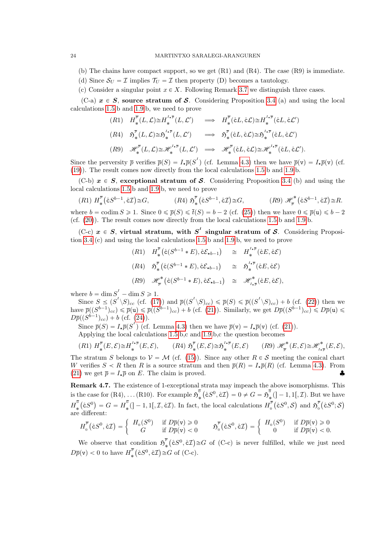#### 24 MARTINTXO SARALEGI-ARANGUREN

- (b) The chains have compact support, so we get (R1) and (R4). The case (R9) is immediate.
- (d) Since  $S_U = \mathcal{I}$  implies  $\mathcal{T}_U = \mathcal{I}$  then property (D) becomes a tautology.
- (c) Consider a singular point  $x \in X$ . Following Remark 3.7 we distinguish three cases.

(C-a)  $x \in S$ , source stratum of S. Considering Proposition 3.4 (a) and using the local calculations 1.5.b and 1.9.b, we need to prove

$$
(R1) \quad H^{\overline{p}}_{*}(L, \mathcal{L}) \cong H^{I_{*}\overline{p}}_{*}(L, \mathcal{L}') \quad \implies \quad H^{\overline{p}}_{*}(\mathring{c}L, \mathring{c}\mathcal{L}) \cong H^{I_{*}\overline{p}}_{*}(\mathring{c}L, \mathring{c}\mathcal{L}')
$$
\n
$$
(R4) \quad \mathfrak{H}^{\overline{p}}_{*}(L, \mathcal{L}) \cong \mathfrak{H}^{I_{*}\overline{p}}_{*}(L, \mathcal{L}') \quad \implies \quad \mathfrak{H}^{\overline{p}}_{*}(\mathring{c}L, \mathring{c}\mathcal{L}) \cong \mathfrak{H}^{I_{*}\overline{p}}_{*}(\mathring{c}L, \mathring{c}\mathcal{L}')
$$
\n
$$
(R9) \quad \mathscr{H}^{\overline{p}}_{*}(L, \mathcal{L}) \cong \mathscr{H}^{I_{*}\overline{p}}_{*}(L, \mathcal{L}') \quad \implies \quad \mathscr{H}^{\overline{p}}_{*}(\mathring{c}L, \mathring{c}\mathcal{L}) \cong \mathscr{H}^{I_{*}\overline{p}}_{*}(\mathring{c}L, \mathring{c}\mathcal{L}').
$$

Since the perversity  $\bar{p}$  verifies  $\bar{p}(S) = I_{\star} \bar{p}(S^{\prime})$  (cf. Lemma 4.3) then we have  $\bar{p}(v) = I_{\star} \bar{p}(v)$  (cf. (19)). The result comes now directly from the local calculations 1.5.b and 1.9.b.

(C-b)  $x \in S$ , exceptional stratum of S. Considering Proposition 3.4 (b) and using the local calculations 1.5.b and 1.9.b, we need to prove

$$
(R1) H_*^{\overline{p}}(\mathring{c}S^{b-1}, \mathring{c}\mathcal{I}) \cong G, \qquad (R4) \mathfrak{H}_*^{\overline{p}}(\mathring{c}S^{b-1}, \mathring{c}\mathcal{I}) \cong G, \qquad (R9) \mathscr{H}_*^*(\mathring{c}S^{b-1}, \mathring{c}\mathcal{I}) \cong R.
$$

where  $b = \text{codim } S \geq 1$ . Since  $0 \leq \overline{p}(S) \leq \overline{t}(S) = b - 2$  (cf. (25)) then we have  $0 \leq \overline{p}(u) \leq b - 2$ (cf. (20)). The result comes now directly from the local calculations 1.5.b and 1.9.b.

(C-c)  $x \in S$ , virtual stratum, with  $S<sup>T</sup>$  singular stratum of S. Considering Proposition 3.4 (c) and using the local calculations 1.5.b and 1.9.b, we need to prove

$$
(R1) \quad H^{\overline{p}}_{*}(\mathring{c}(S^{b-1} * E), \mathring{c}\mathcal{E}_{*b-1}) \cong H^{I * \overline{p}}_{*}(\mathring{c}E, \mathring{c}\mathcal{E})
$$
\n
$$
(R4) \quad \mathfrak{H}^{\overline{p}}_{*}(\mathring{c}(S^{b-1} * E), \mathring{c}\mathcal{E}_{*b-1}) \cong \mathfrak{H}^{I * \overline{p}}_{*}(\mathring{c}E, \mathring{c}\mathcal{E})
$$
\n
$$
(R9) \quad \mathscr{H}^{*}_{\overline{p}}(\mathring{c}(S^{b-1} * E), \mathring{c}\mathcal{E}_{*b-1}) \cong \mathscr{H}^{*}_{I * \overline{p}}(\mathring{c}E, \mathring{c}\mathcal{E}),
$$

where  $b = \dim S'_1 - \dim S \geq 1$ .

Since  $S \preceq (S^I \setminus S)_{cc}$  (cf. (17)) and  $\overline{p}((S^I \setminus S)_{cc}) \leq \overline{p}(S) \leq \overline{p}((S^I \setminus S)_{cc}) + b$  (cf. (22)) then we have  $\overline{p}((S^{b-1})_{cc}) \leq \overline{p}(\mathbf{u}) \leq \overline{p}((S^{b-1})_{cc}) + b$  (cf. (21)). Similarly, we get  $D\overline{p}((S^{b-1})_{cc}) \leq D\overline{p}(\mathbf{u}) \leq$  $D\overline{p}((S^{b-1})_{cc}) + b \text{ (cf. (24))}.$ 

Since  $\overline{p}(S) = I_{\star}\overline{p}(S')$  (cf. Lemma 4.3) then we have  $\overline{p}(v) = I_{\star}\overline{p}(v)$  (cf. (21)).

Applying the local calculations 1.5.b,c and 1.9.b,c the question becomes

$$
(R1) \ H_*^{\overline{p}}(E,\mathcal{E}) \cong H_*^{I_*\overline{p}}(E,\mathcal{E}), \qquad (R4) \ \mathfrak{H}_*^{\overline{p}}(E,\mathcal{E}) \cong \mathfrak{H}_*^{I_*\overline{p}}(E,\mathcal{E}) \qquad (R9) \ \mathscr{H}_*^*(E,\mathcal{E}) \cong \mathscr{H}_{I_*\overline{p}}^*(E,\mathcal{E}),
$$

The stratum S belongs to  $V = M$  (cf. (15)). Since any other  $R \in S$  meeting the conical chart W verifies  $S \prec R$  then R is a source stratum and then  $\bar{p}(R) = I_{\star}\bar{p}(R)$  (cf. Lemma 4.3). From (21) we get  $\bar{p} = I_{\star} \bar{p}$  on E. The claim is proved.

Remark 4.7. The existence of 1-exceptional strata may impeach the above isomorphisms. This is the case for  $(R4), \ldots (R10)$ . For example  $\mathfrak{H}^{\overline{0}}$ ˚  $\mathbf{z}$  $\r(\epsilon S^0, \r \epsilon \mathcal{I})$  $\mathfrak{a}$  $= 0 \neq G = \mathfrak{H}^{\overline{0}}$  $\binom{6}{*}$  (] – 1, 1[, *T*). But we have  $\overline{H}^{\overline{0}}$ ˚ `  $\left( \overset{c}{\varepsilon }S^{0}\right)$  $=G=H_{\ast}^{\overline{0}}$  $\int_{\ast}^{\overline{0}} (]-1,1[,\mathcal{I},\mathcal{E}\mathcal{I}).$  In fact, the local calculations  $H_0^{\overline{p}}$ 0  $\overline{\phantom{a}}$  $\r(\epsilon S^0, \mathcal{S}^1)$ ˘ and  $\mathfrak{H}_{\circ}^{\overline{p}}$ 0  $\mathcal{L}$  $\r(\epsilon S^0 ; {\cal S} )$ ˘ are different: "

$$
H_0^{\overline{p}}(\mathring{\mathtt{c}}S^0, \mathring{\mathtt{c}}\mathcal{I}) = \left\{ \begin{array}{cc} H_0(S^0) & \text{if } D\overline{p}(\mathtt{v}) \geq 0 \\ G & \text{if } D\overline{p}(\mathtt{v}) < 0 \end{array} \right. \qquad \mathfrak{H}_0^{\overline{p}}(\mathring{\mathtt{c}}S^0, \mathring{\mathtt{c}}\mathcal{I}) = \left\{ \begin{array}{cc} H_0(S^0) & \text{if } D\overline{p}(\mathtt{v}) \geq 0 \\ 0 & \text{if } D\overline{p}(\mathtt{v}) < 0. \end{array} \right.
$$

We observe that condition  $\mathfrak{H}^{\bar{p}}$ ˚  $\r(\epsilon S^0, \r \epsilon \mathcal{I})$ position  $\mathfrak{H}^{\nu}_{*}(\mathfrak{e}S^{0}, \mathfrak{e}I) \cong G$  of (C-c) is never fulfilled, while we just need  $D\overline{p}(v) < 0$  to have  $H_{\ast}^{\overline{p}}$  $\int_{\ast}^{p} (\mathring{\mathbf{c}} S^{0}, \mathring{\mathbf{c}} \mathcal{I}) \cong G$  of (C-c).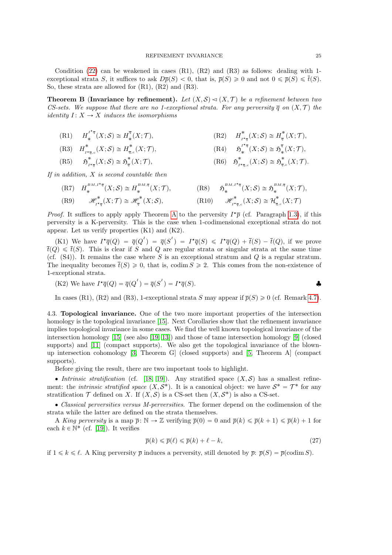Condition  $(22)$  can be weakened in cases  $(R1)$ ,  $(R2)$  and  $(R3)$  as follows: dealing with 1exceptional strata S, it suffices to ask  $D\overline{p}(S) < 0$ , that is,  $\overline{p}(S) \geq 0$  and not  $0 \leq \overline{p}(S) \leq \overline{t}(S)$ . So, these strata are allowed for (R1), (R2) and (R3).

**Theorem B (Invariance by refinement).** Let  $(X, \mathcal{S}) \lhd (X, \mathcal{T})$  be a refinement between two CS-sets. We suppose that there are no 1-exceptional strata. For any perversity  $\bar{q}$  on  $(X, \mathcal{T})$  the *identity*  $I: X \rightarrow X$  *induces the isomorphisms* 

 $(R1)$   $H^{I^*\overline{q}}$  $\mu_*^{I^*\overline{q}}(X;\mathcal{S})\cong H_*^{\overline{q}}$ ˚  $(X; \mathcal{T}),$  (R2)  $H^*_{\mathcal{T}}$  $\frac{1}{I^{\star}\overline{q}}(X;\mathcal{S})\cong H^{\ast}_{\overline{q}}$  $\frac{1}{q}(X;\mathcal{T}),$ 

(R3) 
$$
H^*_{I^*\bar{q},c}(X;\mathcal{S}) \cong H^*_{\bar{q},c}(X;\mathcal{T}),
$$
  
(R4)  $\mathfrak{H}^{I^*\bar{q}}_*(X;\mathcal{S}) \cong \mathfrak{H}^{\bar{q}}_*(X;\mathcal{T}),$ 

(R5) 
$$
\mathfrak{H}^*_{I^*\overline{q}}(X;\mathcal{S}) \cong \mathfrak{H}^*_{\overline{q}}(X;\mathcal{T}),
$$
 (R6)  $\mathfrak{H}^*_{I^*\overline{q},c}(X;\mathcal{S}) \cong \mathfrak{H}^*_{\overline{q},c}(X;\mathcal{T}).$ 

If in addition,  $X$  is second countable then

(R7) 
$$
H_*^{BM,I^*\overline{q}}(X;\mathcal{S}) \cong H_*^{BM,\overline{q}}(X;\mathcal{T}),
$$
  
\n(R8)  $\mathfrak{H}_*^{BM,I^*\overline{q}}(X;\mathcal{S}) \cong \mathfrak{H}_*^{BM,\overline{q}}(X;\mathcal{T}),$   
\n(R9)  $\mathscr{H}_{I^*\overline{q}}^*(X;\mathcal{T}) \cong \mathscr{H}_{\overline{q}}^*(X;\mathcal{S}),$   
\n(R10)  $\mathscr{H}_{I^*\overline{q},c}^*(X;\mathcal{S}) \cong \mathcal{H}_{\overline{q},c}^*(X;\mathcal{T})$ 

*Proof.* It suffices to apply apply Theorem A to the perversity  $I^*\overline{p}$  (cf. Paragraph 1.3), if this perversity is a K-perversity. This is the case when 1-codimensional exceptional strata do not appear. Let us verify properties (K1) and (K2).

(K1) We have  $I^{\star}\overline{q}(Q) = \overline{q}(Q^{I}) = \overline{q}(S^{I}) = I^{\star}\overline{q}(S) \leqslant I^{\star}\overline{q}(Q) + \overline{t}(S) - \overline{t}(Q)$ , if we prove  $\overline{t}(Q) \leq \overline{t}(S)$ . This is clear if S and Q are regular strata or singular strata at the same time (cf.  $(S4)$ ). It remains the case where S is an exceptional stratum and Q is a regular stratum. The inequality becomes  $\bar{t}(S) \geq 0$ , that is, codim  $S \geq 2$ . This comes from the non-existence of 1-exceptional strata.

(K2) We have 
$$
I^{\star}\overline{q}(Q) = \overline{q}(Q^I) = \overline{q}(S^I) = I^{\star}\overline{q}(S)
$$
.

In cases (R1), (R2) and (R3), 1-exceptional strata S may appear if  $\bar{p}(S) \ge 0$  (cf. Remark 4.7).

4.3. Topological invariance. One of the two more important properties of the intersection homology is the topological invariance [15]. Next Corollaries show that the refinement invariance implies topological invariance in some cases. We find the well known topological invariance of the intersection homology [15] (see also [19, 13]) and those of tame intersection homology [9] (closed supports) and [11] (compact supports). We also get the topological invariance of the blownup intersection cohomology [3, Theorem G] (closed supports) and [5, Theorem A] (compact supports).

Before giving the result, there are two important tools to highlight.

• Intrinsic stratification (cf. [18, 19]). Any stratified space  $(X, \mathcal{S})$  has a smallest refinement: the *intrinsic stratified space*  $(X, S^*)$ . It is a canonical object: we have  $S^* = \mathcal{T}^*$  for any stratification  $\mathcal T$  defined on X. If  $(X, \mathcal S)$  is a CS-set then  $(X, \mathcal S^*)$  is also a CS-set.

' Classical perversities versus M-perversities. The former depend on the codimension of the strata while the latter are defined on the strata themselves.

A King perversity is a map  $\bar{p}: \mathbb{N} \to \mathbb{Z}$  verifying  $\bar{p}(0) = 0$  and  $\bar{p}(k) \leq \bar{p}(k+1) \leq \bar{p}(k) + 1$  for each  $k \in \mathbb{N}^*$  (cf. [19]). It verifies

$$
\overline{p}(k) \le \overline{p}(\ell) \le \overline{p}(k) + \ell - k,\tag{27}
$$

if  $1 \leq k \leq \ell$ . A King perversity  $\bar{p}$  induces a perversity, still denoted by  $\bar{p}: \bar{p}(S) = \bar{p}(\text{codim } S)$ .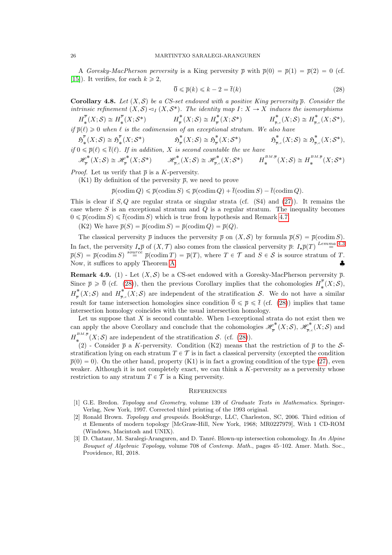A Goresky-MacPherson perversity is a King perversity  $\bar{p}$  with  $\bar{p}(0) = \bar{p}(1) = \bar{p}(2) = 0$  (cf. [15]). It verifies, for each  $k \geq 2$ ,

$$
\overline{0} \leqslant \overline{p}(k) \leqslant k - 2 = \overline{t}(k)
$$
\n<sup>(28)</sup>

**Corollary 4.8.** Let  $(X, \mathcal{S})$  be a CS-set endowed with a positive King perversity  $\bar{p}$ . Consider the intrinsic refinement  $(X, S) \lhd_I (X, S^*)$ . The identity map  $I : X \to X$  induces the isomorphisms

 $H_\ast^{\overline p}$  $\frac{\overline{p}}{\ast}(X;\mathcal{S})\cong H_{\ast}^{\overline{p}}$  $H^*_{\ast}(X; S^*)$   $H^*_{\overline{p}}$  $\frac{1}{p}^*(X;\mathcal{S})\cong H^*_{\overline{p}}$  $\frac{1}{p}^*(X; S^*)$   $H_{\overline{p}, \overline{q}}^*$  $\iota^*_{\overline{\mathbb{P}},c}(X;\mathcal{S})\cong H^*_{\overline{\mathbb{P}},c}$  $\int_{\overline{p},c}^{\ast}(X; \mathcal{S}^{*}),$ if  $\bar{p}(\ell) \geq 0$  when  $\ell$  is the codimension of an exceptional stratum. We also have

$$
\mathfrak{H}_{*}^{\overline{p}}(X;\mathcal{S}) \cong \mathfrak{H}_{*}^{\overline{p}}(X;\mathcal{S}^{*}) \qquad \mathfrak{H}_{\overline{p}}^{*}(X;\mathcal{S}) \cong \mathfrak{H}_{\overline{p}}^{*}(X;\mathcal{S}^{*}) \qquad \mathfrak{H}_{\overline{p},c}^{*}(X;\mathcal{S}) \cong \mathfrak{H}_{\overline{p},c}^{*}(X;\mathcal{S}) \cong \mathfrak{H}_{\overline{p},c}^{*}(X;\mathcal{S}^{*}),
$$

if  $0 \leq \overline{p}(\ell) \leq \overline{t}(\ell)$ . If in addition, X is second countable the we have

 $\mathscr{H}^\ast_{\overline{n}}$  $\mathscr{P}_{\overline{p}}^{*}(X;\mathcal{S})\cong \mathscr{H}_{\overline{p}}^{*}$  $\mathscr{P}_{\overline{p}}^{*}(X;\mathcal{S}^{*}) \qquad \mathscr{H}_{\overline{p},\alpha}^{*}$  $\mathscr{P}_{\overline{\mathbb{P}},c}^*(X;\mathcal{S})\cong \mathscr{H}_{\overline{\mathbb{P}},c}^*$  $p_{\overline{p},c}^{\ast}(X;\mathcal{S}^{*}) \qquad H_{*}^{^{BM,\overline{p}}}% (X;\mathcal{S}^{*})=0,$  $\pi_*^{^{BM,\overline{p}}}(X;\mathcal{S})\cong H_*^{^{BM,\overline{p}}}$  $\mathcal{S}^{^{kM,p}}_{*}(X;\mathcal{S}^{*})$ 

*Proof.* Let us verify that  $\bar{p}$  is a K-perversity.

(K1) By definition of the perversity  $\bar{p}$ , we need to prove

 $\overline{p}(\text{codim } Q) \leq \overline{p}(\text{codim } S) \leq \overline{p}(\text{codim } Q) + \overline{t}(\text{codim } S) - \overline{t}(\text{codim } Q).$ 

This is clear if  $S, Q$  are regular strata or singular strata (cf.  $(S4)$  and  $(27)$ ). It remains the case where  $S$  is an exceptional stratum and  $Q$  is a regular stratum. The inequality becomes  $0 \leq \bar{p}(\text{codim } S) \leq \bar{t}(\text{codim } S)$  which is true from hypothesis and Remark 4.7.

(K2) We have  $\overline{p}(S) = \overline{p}(\text{codim } S) = \overline{p}(\text{codim } Q) = \overline{p}(Q)$ .

The classical perversity  $\bar{p}$  induces the perversity  $\bar{p}$  on  $(X, S)$  by formula  $\bar{p}(S) = \bar{p}(\text{codim } S)$ . In fact, the perversity  $I_{\star} \overline{p}$  of  $(X, \mathcal{T})$  also comes from the classical perversity  $\overline{p}: I_{\star} \overline{p}(T) \stackrel{Lemma~4.3}{=}$  $\overline{p}(S) = \overline{p}(\text{codim } S) \stackrel{source}{=} \overline{p}(\text{codim } T) = \overline{p}(T)$ , where  $T \in \mathcal{T}$  and  $S \in \mathcal{S}$  is source stratum of T. Now, it suffices to apply Theorem A.

**Remark 4.9.** (1) - Let  $(X, \mathcal{S})$  be a CS-set endowed with a Goresky-MacPherson perversity  $\bar{p}$ . Since  $\bar{p} \geqslant \bar{0}$  (cf. (28)), then the previous Corollary implies that the cohomologies  $H_{\ast}^{\bar{p}}$  $\chi^\cdot_* (X; {\mathcal S}),$  $H^*_{\overline{z}}$  $\frac{1}{p}^*(X;\mathcal{S})$  and  $H^*_{\overline{p},\overline{p}}$  $\int_{\overline{p},c}^{\infty}(X;\mathcal{S})$  are independent of the stratification S. We do not have a similar result for tame intersection homologies since condition  $\bar{0} \leq \bar{p} \leq \bar{t}$  (cf. (28)) implies that tame intersection homology coincides with the usual intersection homology.

Let us suppose that  $X$  is second countable. When 1-exceptional strata do not exist then we can apply the above Corollary and conclude that the cohomologies  $\mathscr{H}_{\overline{n}}^*$  $\frac{\varphi^*}{\overline{p}}(X;\mathcal{S}),\ \mathscr{H}^*_{\overline{p},\overline{\varphi}}$  $\frac{\varphi^{\bm{\pi}}}{\overline{p},c}(X;\mathcal{S})$  and  $H_*^{^{BM,\overline{p}}}$  $\mathcal{L}^{m,p}(X;\mathcal{S})$  are independent of the stratification  $\mathcal{S}$ . (cf. (28)).

(2) - Consider  $\bar{p}$  a K-perversity. Condition (K2) means that the restriction of  $\bar{p}$  to the Sstratification lying on each stratum  $T \in \mathcal{T}$  is in fact a classical perversity (excepted the condition  $\bar{p}(0) = 0$ . On the other hand, property (K1) is in fact a growing condition of the type (27), even weaker. Although it is not completely exact, we can think a  $K$ -perversity as a perversity whose restriction to any stratum  $T \in \mathcal{T}$  is a King perversity.

#### **REFERENCES**

- [1] G.E. Bredon. Topology and Geometry, volume 139 of Graduate Texts in Mathematics. Springer-Verlag, New York, 1997. Corrected third printing of the 1993 original.
- [2] Ronald Brown. Topology and groupoids. BookSurge, LLC, Charleston, SC, 2006. Third edition of ıt Elements of modern topology [McGraw-Hill, New York, 1968; MR0227979], With 1 CD-ROM (Windows, Macintosh and UNIX).
- [3] D. Chataur, M. Saralegi-Aranguren, and D. Tanré. Blown-up intersection cohomology. In An Alpine Bouquet of Algebraic Topology, volume 708 of Contemp. Math., pages 45–102. Amer. Math. Soc., Providence, RI, 2018.